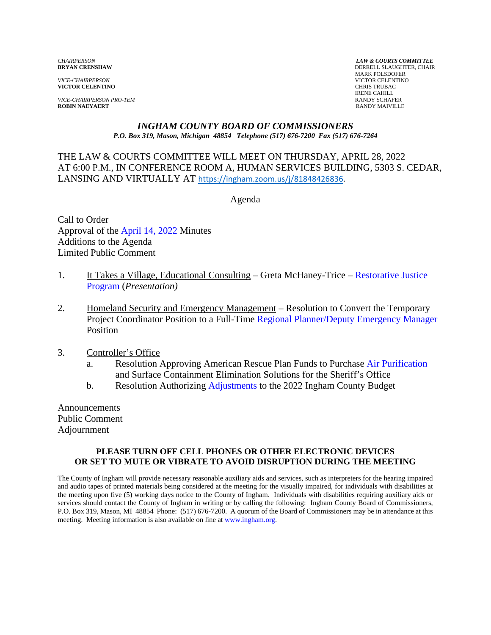*VICE-CHAIRPERSON* VICTOR CELENTINO **VICTOR CELENTINO** 

*VICE-CHAIRPERSON PRO-TEM* **RANDY SCHAFER ROBIN NAEYAERT RANDY SCHAFER ROBIN NAEYAERT ROBIN NAEYAERT** 

*CHAIRPERSON LAW & COURTS COMMITTEE* **DERRELL SLAUGHTER, CHAIR**  MARK POLSDOFER IRENE CAHILL<br>RANDY SCHAFER

# *INGHAM COUNTY BOARD OF COMMISSIONERS*

*P.O. Box 319, Mason, Michigan 48854 Telephone (517) 676-7200 Fax (517) 676-7264*

THE LAW & COURTS COMMITTEE WILL MEET ON THURSDAY, APRIL 28, 2022 AT 6:00 P.M., IN CONFERE[NCE ROOM A, HUMAN SERVICES BUILDING, 53](https://ingham.zoom.us/j/81848426836)03 S. CEDAR, LANSING AND VIRTUALLY AT https://ingham.zoom.us/j/81848426836.

Agenda

Call to Order Approval of t[he April 14, 2022 Minutes](#page-1-0)  Additions to the Agenda Limited Public Comment

- 1. [It Takes a Village, Educational Consulting Greta McHaney-Trice Restorative Justice](#page-17-0) Program (*Presentation)*
- 2. Homeland Security and Emergency Management Resolution to Convert the Temporary Project Coordinator Position to a Full-Time [Regional Planner/Deputy Emergency Manager](#page-18-0) Position
- 3. Controller's Office
	- a. Resolution Approving American Rescue Plan Funds to Purcha[se Air Purification](#page-25-0) and Surface Containment Elimination Solutions for the Sheriff's Office
	- b. Resolution Authoriz[ing Adjustments to the 2](#page-28-0)022 Ingham County Budget

Announcements Public Comment Adjournment

#### **PLEASE TURN OFF CELL PHONES OR OTHER ELECTRONIC DEVICES OR SET TO MUTE OR VIBRATE TO AVOID DISRUPTION DURING THE MEETING**

The County of Ingham will provide necessary reasonable auxiliary aids and services, such as interpreters for the hearing impaired and audio tapes of printed materials being considered at the meeting for the visually impaired, for individuals with disabilities at the meeting upon five (5) working days notice to the County of Ingham. Individuals with disabilities requiring auxiliary aids or services should contact the County of Ingham in writing or by calling the following: Ingham County Board of Commissioners, P.O. Box 319, Mason, MI 48854 Phone: (517) 676-7200. A quorum of the Board of Commissioners may be in attendance at this meeting. Meeting information is also available on line at www.ingham.org.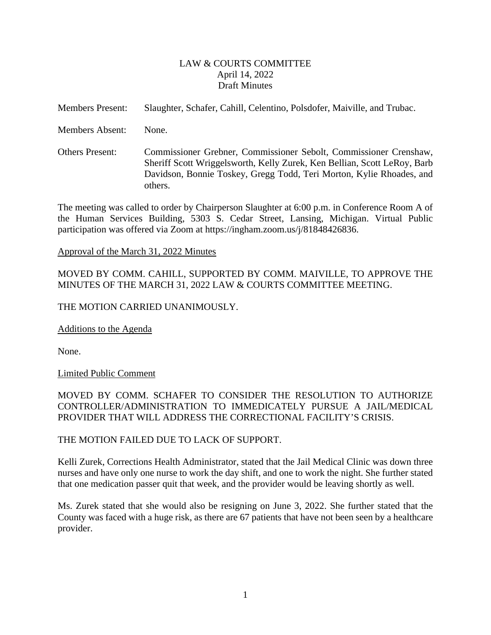#### LAW & COURTS COMMITTEE April 14, 2022 Draft Minutes

<span id="page-1-0"></span>

| <b>Members Present:</b> | Slaughter, Schafer, Cahill, Celentino, Polsdofer, Maiville, and Trubac.                                                                                                                                                          |
|-------------------------|----------------------------------------------------------------------------------------------------------------------------------------------------------------------------------------------------------------------------------|
| Members Absent:         | None.                                                                                                                                                                                                                            |
| <b>Others Present:</b>  | Commissioner Grebner, Commissioner Sebolt, Commissioner Crenshaw,<br>Sheriff Scott Wriggelsworth, Kelly Zurek, Ken Bellian, Scott LeRoy, Barb<br>Davidson, Bonnie Toskey, Gregg Todd, Teri Morton, Kylie Rhoades, and<br>others. |

The meeting was called to order by Chairperson Slaughter at 6:00 p.m. in Conference Room A of the Human Services Building, 5303 S. Cedar Street, Lansing, Michigan. Virtual Public participation was offered via Zoom at https://ingham.zoom.us/j/81848426836.

#### Approval of the March 31, 2022 Minutes

MOVED BY COMM. CAHILL, SUPPORTED BY COMM. MAIVILLE, TO APPROVE THE MINUTES OF THE MARCH 31, 2022 LAW & COURTS COMMITTEE MEETING.

#### THE MOTION CARRIED UNANIMOUSLY.

Additions to the Agenda

None.

Limited Public Comment

### MOVED BY COMM. SCHAFER TO CONSIDER THE RESOLUTION TO AUTHORIZE CONTROLLER/ADMINISTRATION TO IMMEDICATELY PURSUE A JAIL/MEDICAL PROVIDER THAT WILL ADDRESS THE CORRECTIONAL FACILITY'S CRISIS.

#### THE MOTION FAILED DUE TO LACK OF SUPPORT.

Kelli Zurek, Corrections Health Administrator, stated that the Jail Medical Clinic was down three nurses and have only one nurse to work the day shift, and one to work the night. She further stated that one medication passer quit that week, and the provider would be leaving shortly as well.

Ms. Zurek stated that she would also be resigning on June 3, 2022. She further stated that the County was faced with a huge risk, as there are 67 patients that have not been seen by a healthcare provider.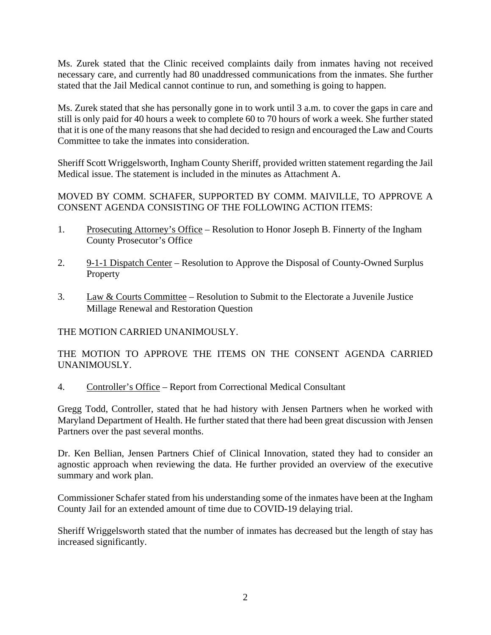Ms. Zurek stated that the Clinic received complaints daily from inmates having not received necessary care, and currently had 80 unaddressed communications from the inmates. She further stated that the Jail Medical cannot continue to run, and something is going to happen.

Ms. Zurek stated that she has personally gone in to work until 3 a.m. to cover the gaps in care and still is only paid for 40 hours a week to complete 60 to 70 hours of work a week. She further stated that it is one of the many reasons that she had decided to resign and encouraged the Law and Courts Committee to take the inmates into consideration.

Sheriff Scott Wriggelsworth, Ingham County Sheriff, provided written statement regarding the Jail Medical issue. The statement is included in the minutes as Attachment A.

MOVED BY COMM. SCHAFER, SUPPORTED BY COMM. MAIVILLE, TO APPROVE A CONSENT AGENDA CONSISTING OF THE FOLLOWING ACTION ITEMS:

- 1. Prosecuting Attorney's Office Resolution to Honor Joseph B. Finnerty of the Ingham County Prosecutor's Office
- 2. 9-1-1 Dispatch Center Resolution to Approve the Disposal of County-Owned Surplus Property
- 3. Law & Courts Committee Resolution to Submit to the Electorate a Juvenile Justice Millage Renewal and Restoration Question

THE MOTION CARRIED UNANIMOUSLY.

THE MOTION TO APPROVE THE ITEMS ON THE CONSENT AGENDA CARRIED UNANIMOUSLY.

4. Controller's Office – Report from Correctional Medical Consultant

Gregg Todd, Controller, stated that he had history with Jensen Partners when he worked with Maryland Department of Health. He further stated that there had been great discussion with Jensen Partners over the past several months.

Dr. Ken Bellian, Jensen Partners Chief of Clinical Innovation, stated they had to consider an agnostic approach when reviewing the data. He further provided an overview of the executive summary and work plan.

Commissioner Schafer stated from his understanding some of the inmates have been at the Ingham County Jail for an extended amount of time due to COVID-19 delaying trial.

Sheriff Wriggelsworth stated that the number of inmates has decreased but the length of stay has increased significantly.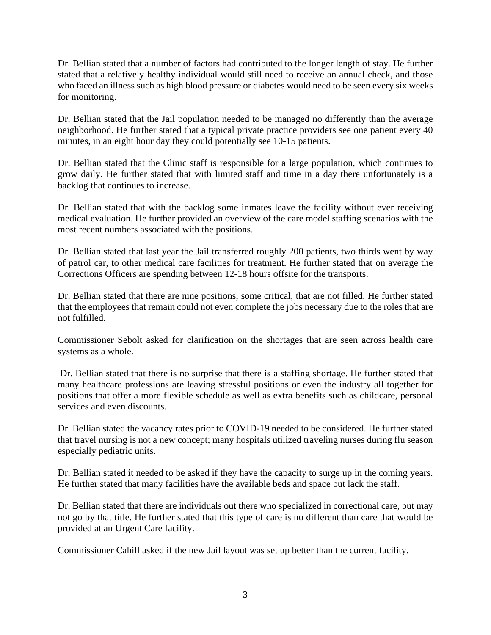Dr. Bellian stated that a number of factors had contributed to the longer length of stay. He further stated that a relatively healthy individual would still need to receive an annual check, and those who faced an illness such as high blood pressure or diabetes would need to be seen every six weeks for monitoring.

Dr. Bellian stated that the Jail population needed to be managed no differently than the average neighborhood. He further stated that a typical private practice providers see one patient every 40 minutes, in an eight hour day they could potentially see 10-15 patients.

Dr. Bellian stated that the Clinic staff is responsible for a large population, which continues to grow daily. He further stated that with limited staff and time in a day there unfortunately is a backlog that continues to increase.

Dr. Bellian stated that with the backlog some inmates leave the facility without ever receiving medical evaluation. He further provided an overview of the care model staffing scenarios with the most recent numbers associated with the positions.

Dr. Bellian stated that last year the Jail transferred roughly 200 patients, two thirds went by way of patrol car, to other medical care facilities for treatment. He further stated that on average the Corrections Officers are spending between 12-18 hours offsite for the transports.

Dr. Bellian stated that there are nine positions, some critical, that are not filled. He further stated that the employees that remain could not even complete the jobs necessary due to the roles that are not fulfilled.

Commissioner Sebolt asked for clarification on the shortages that are seen across health care systems as a whole.

 Dr. Bellian stated that there is no surprise that there is a staffing shortage. He further stated that many healthcare professions are leaving stressful positions or even the industry all together for positions that offer a more flexible schedule as well as extra benefits such as childcare, personal services and even discounts.

Dr. Bellian stated the vacancy rates prior to COVID-19 needed to be considered. He further stated that travel nursing is not a new concept; many hospitals utilized traveling nurses during flu season especially pediatric units.

Dr. Bellian stated it needed to be asked if they have the capacity to surge up in the coming years. He further stated that many facilities have the available beds and space but lack the staff.

Dr. Bellian stated that there are individuals out there who specialized in correctional care, but may not go by that title. He further stated that this type of care is no different than care that would be provided at an Urgent Care facility.

Commissioner Cahill asked if the new Jail layout was set up better than the current facility.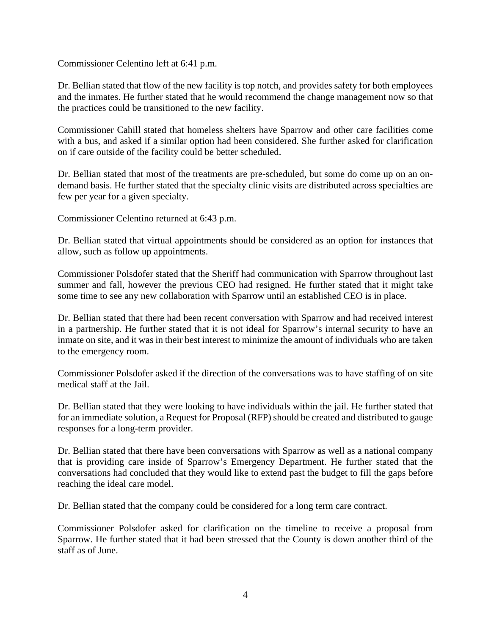Commissioner Celentino left at 6:41 p.m.

Dr. Bellian stated that flow of the new facility is top notch, and provides safety for both employees and the inmates. He further stated that he would recommend the change management now so that the practices could be transitioned to the new facility.

Commissioner Cahill stated that homeless shelters have Sparrow and other care facilities come with a bus, and asked if a similar option had been considered. She further asked for clarification on if care outside of the facility could be better scheduled.

Dr. Bellian stated that most of the treatments are pre-scheduled, but some do come up on an ondemand basis. He further stated that the specialty clinic visits are distributed across specialties are few per year for a given specialty.

Commissioner Celentino returned at 6:43 p.m.

Dr. Bellian stated that virtual appointments should be considered as an option for instances that allow, such as follow up appointments.

Commissioner Polsdofer stated that the Sheriff had communication with Sparrow throughout last summer and fall, however the previous CEO had resigned. He further stated that it might take some time to see any new collaboration with Sparrow until an established CEO is in place.

Dr. Bellian stated that there had been recent conversation with Sparrow and had received interest in a partnership. He further stated that it is not ideal for Sparrow's internal security to have an inmate on site, and it was in their best interest to minimize the amount of individuals who are taken to the emergency room.

Commissioner Polsdofer asked if the direction of the conversations was to have staffing of on site medical staff at the Jail.

Dr. Bellian stated that they were looking to have individuals within the jail. He further stated that for an immediate solution, a Request for Proposal (RFP) should be created and distributed to gauge responses for a long-term provider.

Dr. Bellian stated that there have been conversations with Sparrow as well as a national company that is providing care inside of Sparrow's Emergency Department. He further stated that the conversations had concluded that they would like to extend past the budget to fill the gaps before reaching the ideal care model.

Dr. Bellian stated that the company could be considered for a long term care contract.

Commissioner Polsdofer asked for clarification on the timeline to receive a proposal from Sparrow. He further stated that it had been stressed that the County is down another third of the staff as of June.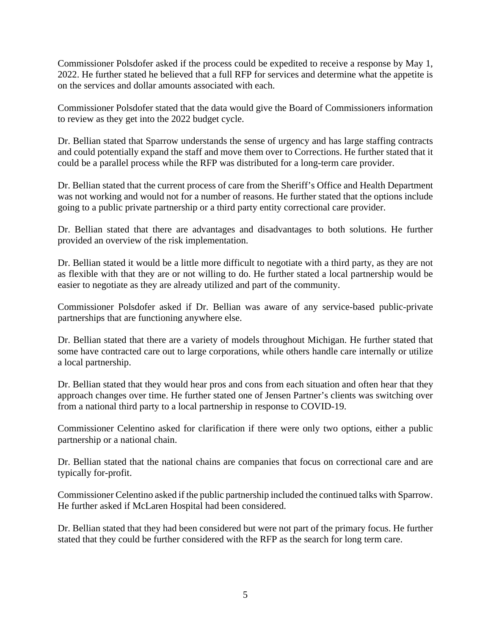Commissioner Polsdofer asked if the process could be expedited to receive a response by May 1, 2022. He further stated he believed that a full RFP for services and determine what the appetite is on the services and dollar amounts associated with each.

Commissioner Polsdofer stated that the data would give the Board of Commissioners information to review as they get into the 2022 budget cycle.

Dr. Bellian stated that Sparrow understands the sense of urgency and has large staffing contracts and could potentially expand the staff and move them over to Corrections. He further stated that it could be a parallel process while the RFP was distributed for a long-term care provider.

Dr. Bellian stated that the current process of care from the Sheriff's Office and Health Department was not working and would not for a number of reasons. He further stated that the options include going to a public private partnership or a third party entity correctional care provider.

Dr. Bellian stated that there are advantages and disadvantages to both solutions. He further provided an overview of the risk implementation.

Dr. Bellian stated it would be a little more difficult to negotiate with a third party, as they are not as flexible with that they are or not willing to do. He further stated a local partnership would be easier to negotiate as they are already utilized and part of the community.

Commissioner Polsdofer asked if Dr. Bellian was aware of any service-based public-private partnerships that are functioning anywhere else.

Dr. Bellian stated that there are a variety of models throughout Michigan. He further stated that some have contracted care out to large corporations, while others handle care internally or utilize a local partnership.

Dr. Bellian stated that they would hear pros and cons from each situation and often hear that they approach changes over time. He further stated one of Jensen Partner's clients was switching over from a national third party to a local partnership in response to COVID-19.

Commissioner Celentino asked for clarification if there were only two options, either a public partnership or a national chain.

Dr. Bellian stated that the national chains are companies that focus on correctional care and are typically for-profit.

Commissioner Celentino asked if the public partnership included the continued talks with Sparrow. He further asked if McLaren Hospital had been considered.

Dr. Bellian stated that they had been considered but were not part of the primary focus. He further stated that they could be further considered with the RFP as the search for long term care.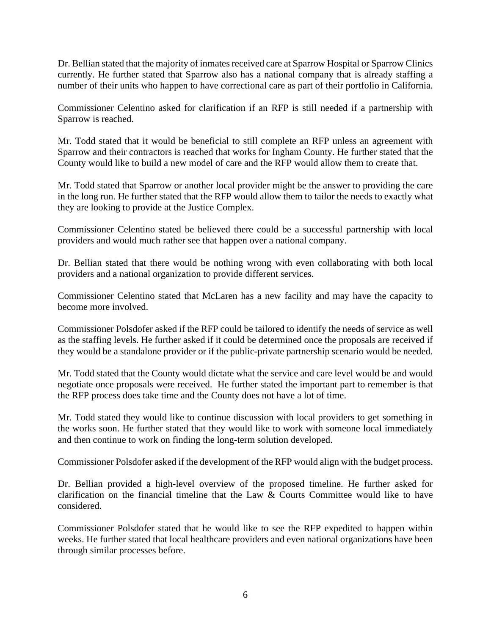Dr. Bellian stated that the majority of inmates received care at Sparrow Hospital or Sparrow Clinics currently. He further stated that Sparrow also has a national company that is already staffing a number of their units who happen to have correctional care as part of their portfolio in California.

Commissioner Celentino asked for clarification if an RFP is still needed if a partnership with Sparrow is reached.

Mr. Todd stated that it would be beneficial to still complete an RFP unless an agreement with Sparrow and their contractors is reached that works for Ingham County. He further stated that the County would like to build a new model of care and the RFP would allow them to create that.

Mr. Todd stated that Sparrow or another local provider might be the answer to providing the care in the long run. He further stated that the RFP would allow them to tailor the needs to exactly what they are looking to provide at the Justice Complex.

Commissioner Celentino stated be believed there could be a successful partnership with local providers and would much rather see that happen over a national company.

Dr. Bellian stated that there would be nothing wrong with even collaborating with both local providers and a national organization to provide different services.

Commissioner Celentino stated that McLaren has a new facility and may have the capacity to become more involved.

Commissioner Polsdofer asked if the RFP could be tailored to identify the needs of service as well as the staffing levels. He further asked if it could be determined once the proposals are received if they would be a standalone provider or if the public-private partnership scenario would be needed.

Mr. Todd stated that the County would dictate what the service and care level would be and would negotiate once proposals were received. He further stated the important part to remember is that the RFP process does take time and the County does not have a lot of time.

Mr. Todd stated they would like to continue discussion with local providers to get something in the works soon. He further stated that they would like to work with someone local immediately and then continue to work on finding the long-term solution developed.

Commissioner Polsdofer asked if the development of the RFP would align with the budget process.

Dr. Bellian provided a high-level overview of the proposed timeline. He further asked for clarification on the financial timeline that the Law  $\&$  Courts Committee would like to have considered.

Commissioner Polsdofer stated that he would like to see the RFP expedited to happen within weeks. He further stated that local healthcare providers and even national organizations have been through similar processes before.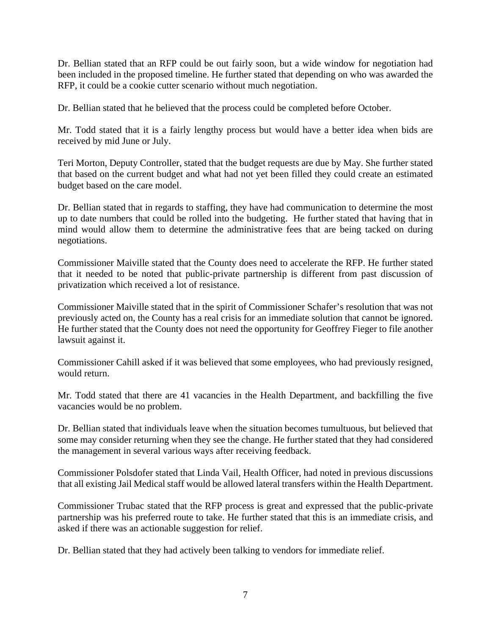Dr. Bellian stated that an RFP could be out fairly soon, but a wide window for negotiation had been included in the proposed timeline. He further stated that depending on who was awarded the RFP, it could be a cookie cutter scenario without much negotiation.

Dr. Bellian stated that he believed that the process could be completed before October.

Mr. Todd stated that it is a fairly lengthy process but would have a better idea when bids are received by mid June or July.

Teri Morton, Deputy Controller, stated that the budget requests are due by May. She further stated that based on the current budget and what had not yet been filled they could create an estimated budget based on the care model.

Dr. Bellian stated that in regards to staffing, they have had communication to determine the most up to date numbers that could be rolled into the budgeting. He further stated that having that in mind would allow them to determine the administrative fees that are being tacked on during negotiations.

Commissioner Maiville stated that the County does need to accelerate the RFP. He further stated that it needed to be noted that public-private partnership is different from past discussion of privatization which received a lot of resistance.

Commissioner Maiville stated that in the spirit of Commissioner Schafer's resolution that was not previously acted on, the County has a real crisis for an immediate solution that cannot be ignored. He further stated that the County does not need the opportunity for Geoffrey Fieger to file another lawsuit against it.

Commissioner Cahill asked if it was believed that some employees, who had previously resigned, would return.

Mr. Todd stated that there are 41 vacancies in the Health Department, and backfilling the five vacancies would be no problem.

Dr. Bellian stated that individuals leave when the situation becomes tumultuous, but believed that some may consider returning when they see the change. He further stated that they had considered the management in several various ways after receiving feedback.

Commissioner Polsdofer stated that Linda Vail, Health Officer, had noted in previous discussions that all existing Jail Medical staff would be allowed lateral transfers within the Health Department.

Commissioner Trubac stated that the RFP process is great and expressed that the public-private partnership was his preferred route to take. He further stated that this is an immediate crisis, and asked if there was an actionable suggestion for relief.

Dr. Bellian stated that they had actively been talking to vendors for immediate relief.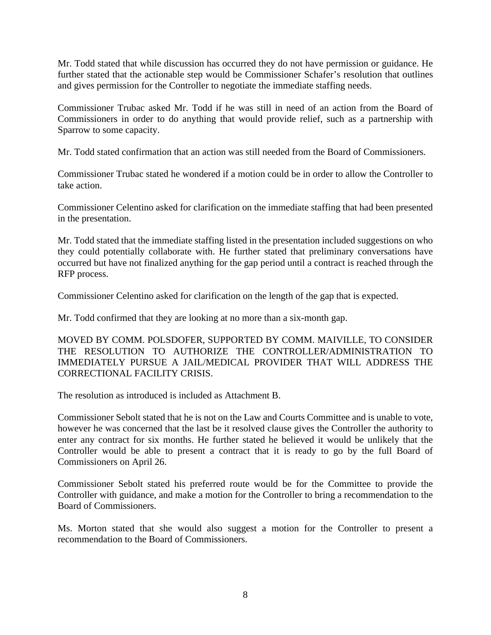Mr. Todd stated that while discussion has occurred they do not have permission or guidance. He further stated that the actionable step would be Commissioner Schafer's resolution that outlines and gives permission for the Controller to negotiate the immediate staffing needs.

Commissioner Trubac asked Mr. Todd if he was still in need of an action from the Board of Commissioners in order to do anything that would provide relief, such as a partnership with Sparrow to some capacity.

Mr. Todd stated confirmation that an action was still needed from the Board of Commissioners.

Commissioner Trubac stated he wondered if a motion could be in order to allow the Controller to take action.

Commissioner Celentino asked for clarification on the immediate staffing that had been presented in the presentation.

Mr. Todd stated that the immediate staffing listed in the presentation included suggestions on who they could potentially collaborate with. He further stated that preliminary conversations have occurred but have not finalized anything for the gap period until a contract is reached through the RFP process.

Commissioner Celentino asked for clarification on the length of the gap that is expected.

Mr. Todd confirmed that they are looking at no more than a six-month gap.

MOVED BY COMM. POLSDOFER, SUPPORTED BY COMM. MAIVILLE, TO CONSIDER THE RESOLUTION TO AUTHORIZE THE CONTROLLER/ADMINISTRATION TO IMMEDIATELY PURSUE A JAIL/MEDICAL PROVIDER THAT WILL ADDRESS THE CORRECTIONAL FACILITY CRISIS.

The resolution as introduced is included as Attachment B.

Commissioner Sebolt stated that he is not on the Law and Courts Committee and is unable to vote, however he was concerned that the last be it resolved clause gives the Controller the authority to enter any contract for six months. He further stated he believed it would be unlikely that the Controller would be able to present a contract that it is ready to go by the full Board of Commissioners on April 26.

Commissioner Sebolt stated his preferred route would be for the Committee to provide the Controller with guidance, and make a motion for the Controller to bring a recommendation to the Board of Commissioners.

Ms. Morton stated that she would also suggest a motion for the Controller to present a recommendation to the Board of Commissioners.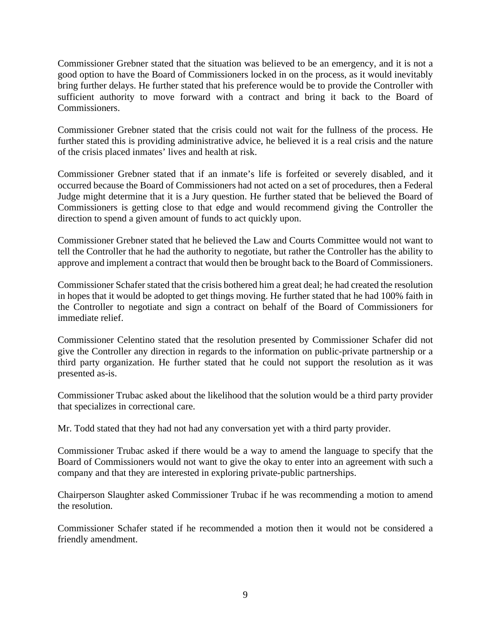Commissioner Grebner stated that the situation was believed to be an emergency, and it is not a good option to have the Board of Commissioners locked in on the process, as it would inevitably bring further delays. He further stated that his preference would be to provide the Controller with sufficient authority to move forward with a contract and bring it back to the Board of Commissioners.

Commissioner Grebner stated that the crisis could not wait for the fullness of the process. He further stated this is providing administrative advice, he believed it is a real crisis and the nature of the crisis placed inmates' lives and health at risk.

Commissioner Grebner stated that if an inmate's life is forfeited or severely disabled, and it occurred because the Board of Commissioners had not acted on a set of procedures, then a Federal Judge might determine that it is a Jury question. He further stated that be believed the Board of Commissioners is getting close to that edge and would recommend giving the Controller the direction to spend a given amount of funds to act quickly upon.

Commissioner Grebner stated that he believed the Law and Courts Committee would not want to tell the Controller that he had the authority to negotiate, but rather the Controller has the ability to approve and implement a contract that would then be brought back to the Board of Commissioners.

Commissioner Schafer stated that the crisis bothered him a great deal; he had created the resolution in hopes that it would be adopted to get things moving. He further stated that he had 100% faith in the Controller to negotiate and sign a contract on behalf of the Board of Commissioners for immediate relief.

Commissioner Celentino stated that the resolution presented by Commissioner Schafer did not give the Controller any direction in regards to the information on public-private partnership or a third party organization. He further stated that he could not support the resolution as it was presented as-is.

Commissioner Trubac asked about the likelihood that the solution would be a third party provider that specializes in correctional care.

Mr. Todd stated that they had not had any conversation yet with a third party provider.

Commissioner Trubac asked if there would be a way to amend the language to specify that the Board of Commissioners would not want to give the okay to enter into an agreement with such a company and that they are interested in exploring private-public partnerships.

Chairperson Slaughter asked Commissioner Trubac if he was recommending a motion to amend the resolution.

Commissioner Schafer stated if he recommended a motion then it would not be considered a friendly amendment.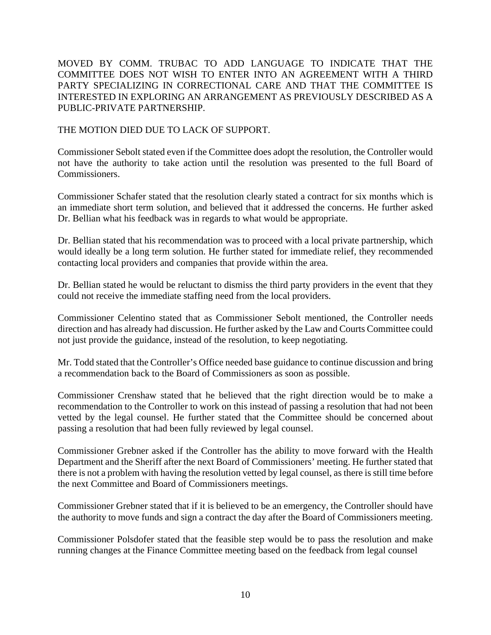MOVED BY COMM. TRUBAC TO ADD LANGUAGE TO INDICATE THAT THE COMMITTEE DOES NOT WISH TO ENTER INTO AN AGREEMENT WITH A THIRD PARTY SPECIALIZING IN CORRECTIONAL CARE AND THAT THE COMMITTEE IS INTERESTED IN EXPLORING AN ARRANGEMENT AS PREVIOUSLY DESCRIBED AS A PUBLIC-PRIVATE PARTNERSHIP.

THE MOTION DIED DUE TO LACK OF SUPPORT.

Commissioner Sebolt stated even if the Committee does adopt the resolution, the Controller would not have the authority to take action until the resolution was presented to the full Board of **Commissioners** 

Commissioner Schafer stated that the resolution clearly stated a contract for six months which is an immediate short term solution, and believed that it addressed the concerns. He further asked Dr. Bellian what his feedback was in regards to what would be appropriate.

Dr. Bellian stated that his recommendation was to proceed with a local private partnership, which would ideally be a long term solution. He further stated for immediate relief, they recommended contacting local providers and companies that provide within the area.

Dr. Bellian stated he would be reluctant to dismiss the third party providers in the event that they could not receive the immediate staffing need from the local providers.

Commissioner Celentino stated that as Commissioner Sebolt mentioned, the Controller needs direction and has already had discussion. He further asked by the Law and Courts Committee could not just provide the guidance, instead of the resolution, to keep negotiating.

Mr. Todd stated that the Controller's Office needed base guidance to continue discussion and bring a recommendation back to the Board of Commissioners as soon as possible.

Commissioner Crenshaw stated that he believed that the right direction would be to make a recommendation to the Controller to work on this instead of passing a resolution that had not been vetted by the legal counsel. He further stated that the Committee should be concerned about passing a resolution that had been fully reviewed by legal counsel.

Commissioner Grebner asked if the Controller has the ability to move forward with the Health Department and the Sheriff after the next Board of Commissioners' meeting. He further stated that there is not a problem with having the resolution vetted by legal counsel, as there is still time before the next Committee and Board of Commissioners meetings.

Commissioner Grebner stated that if it is believed to be an emergency, the Controller should have the authority to move funds and sign a contract the day after the Board of Commissioners meeting.

Commissioner Polsdofer stated that the feasible step would be to pass the resolution and make running changes at the Finance Committee meeting based on the feedback from legal counsel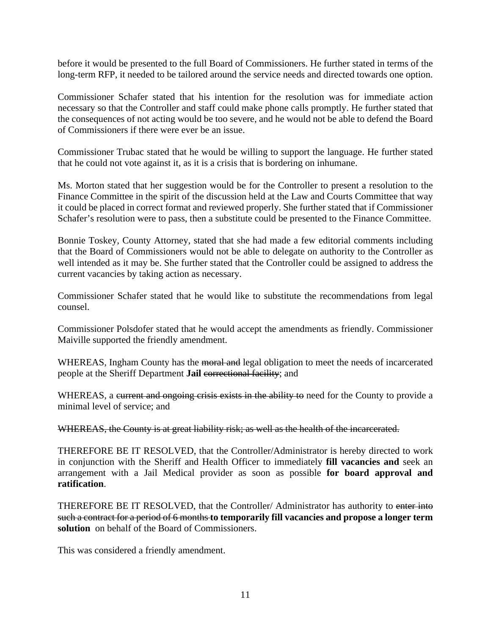before it would be presented to the full Board of Commissioners. He further stated in terms of the long-term RFP, it needed to be tailored around the service needs and directed towards one option.

Commissioner Schafer stated that his intention for the resolution was for immediate action necessary so that the Controller and staff could make phone calls promptly. He further stated that the consequences of not acting would be too severe, and he would not be able to defend the Board of Commissioners if there were ever be an issue.

Commissioner Trubac stated that he would be willing to support the language. He further stated that he could not vote against it, as it is a crisis that is bordering on inhumane.

Ms. Morton stated that her suggestion would be for the Controller to present a resolution to the Finance Committee in the spirit of the discussion held at the Law and Courts Committee that way it could be placed in correct format and reviewed properly. She further stated that if Commissioner Schafer's resolution were to pass, then a substitute could be presented to the Finance Committee.

Bonnie Toskey, County Attorney, stated that she had made a few editorial comments including that the Board of Commissioners would not be able to delegate on authority to the Controller as well intended as it may be. She further stated that the Controller could be assigned to address the current vacancies by taking action as necessary.

Commissioner Schafer stated that he would like to substitute the recommendations from legal counsel.

Commissioner Polsdofer stated that he would accept the amendments as friendly. Commissioner Maiville supported the friendly amendment.

WHEREAS, Ingham County has the moral and legal obligation to meet the needs of incarcerated people at the Sheriff Department **Jail** correctional facility; and

WHEREAS, a current and ongoing crisis exists in the ability to need for the County to provide a minimal level of service; and

WHEREAS, the County is at great liability risk; as well as the health of the incarcerated.

THEREFORE BE IT RESOLVED, that the Controller/Administrator is hereby directed to work in conjunction with the Sheriff and Health Officer to immediately **fill vacancies and** seek an arrangement with a Jail Medical provider as soon as possible **for board approval and ratification**.

THEREFORE BE IT RESOLVED, that the Controller/Administrator has authority to enter into such a contract for a period of 6 months **to temporarily fill vacancies and propose a longer term solution** on behalf of the Board of Commissioners.

This was considered a friendly amendment.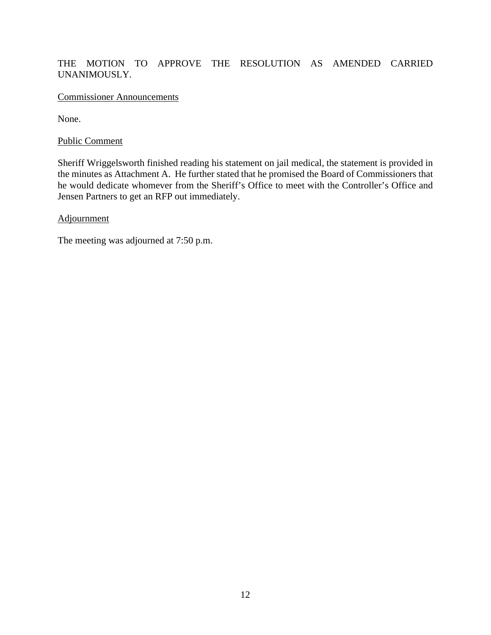### THE MOTION TO APPROVE THE RESOLUTION AS AMENDED CARRIED UNANIMOUSLY.

#### Commissioner Announcements

None.

#### Public Comment

Sheriff Wriggelsworth finished reading his statement on jail medical, the statement is provided in the minutes as Attachment A. He further stated that he promised the Board of Commissioners that he would dedicate whomever from the Sheriff's Office to meet with the Controller's Office and Jensen Partners to get an RFP out immediately.

#### **Adjournment**

The meeting was adjourned at 7:50 p.m.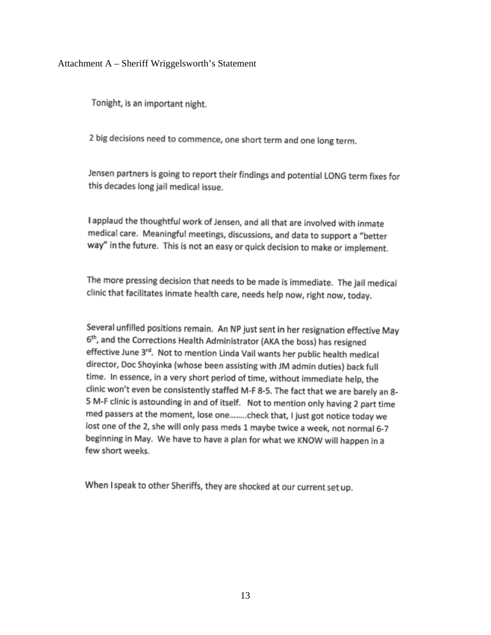Attachment A – Sheriff Wriggelsworth's Statement

Tonight, is an important night.

2 big decisions need to commence, one short term and one long term.

Jensen partners is going to report their findings and potential LONG term fixes for this decades long jail medical issue.

I applaud the thoughtful work of Jensen, and all that are involved with inmate medical care. Meaningful meetings, discussions, and data to support a "better way" in the future. This is not an easy or quick decision to make or implement.

The more pressing decision that needs to be made is immediate. The jail medical clinic that facilitates inmate health care, needs help now, right now, today.

Several unfilled positions remain. An NP just sent in her resignation effective May 6<sup>th</sup>, and the Corrections Health Administrator (AKA the boss) has resigned effective June 3rd. Not to mention Linda Vail wants her public health medical director, Doc Shoyinka (whose been assisting with JM admin duties) back full time. In essence, in a very short period of time, without immediate help, the clinic won't even be consistently staffed M-F 8-5. The fact that we are barely an 8-5 M-F clinic is astounding in and of itself. Not to mention only having 2 part time med passers at the moment, lose one........check that, I just got notice today we lost one of the 2, she will only pass meds 1 maybe twice a week, not normal 6-7 beginning in May. We have to have a plan for what we KNOW will happen in a few short weeks.

When I speak to other Sheriffs, they are shocked at our current set up.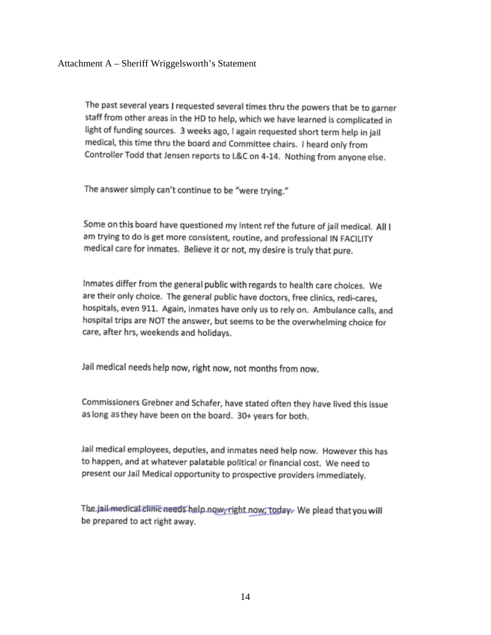The past several years I requested several times thru the powers that be to garner staff from other areas in the HD to help, which we have learned is complicated in light of funding sources. 3 weeks ago, I again requested short term help in jail medical, this time thru the board and Committee chairs. I heard only from Controller Todd that Jensen reports to L&C on 4-14. Nothing from anyone else.

The answer simply can't continue to be "were trying."

Some on this board have questioned my intent ref the future of jail medical. All I am trying to do is get more consistent, routine, and professional IN FACILITY medical care for inmates. Believe it or not, my desire is truly that pure.

Inmates differ from the general public with regards to health care choices. We are their only choice. The general public have doctors, free clinics, redi-cares, hospitals, even 911. Again, inmates have only us to rely on. Ambulance calls, and hospital trips are NOT the answer, but seems to be the overwhelming choice for care, after hrs, weekends and holidays.

Jail medical needs help now, right now, not months from now.

Commissioners Grebner and Schafer, have stated often they have lived this issue as long as they have been on the board. 30+ years for both.

Jail medical employees, deputies, and inmates need help now. However this has to happen, and at whatever palatable political or financial cost. We need to present our Jail Medical opportunity to prospective providers immediately.

The jail-medical clinic needs help now, right now, today. We plead that you will be prepared to act right away.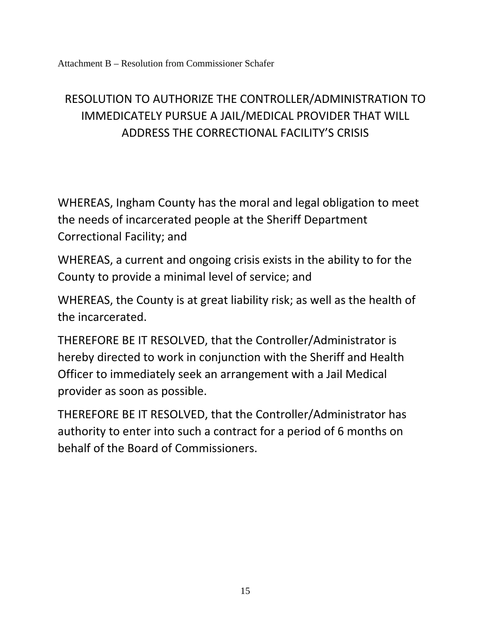# RESOLUTION TO AUTHORIZE THE CONTROLLER/ADMINISTRATION TO IMMEDICATELY PURSUE A JAIL/MEDICAL PROVIDER THAT WILL ADDRESS THE CORRECTIONAL FACILITY'S CRISIS

WHEREAS, Ingham County has the moral and legal obligation to meet the needs of incarcerated people at the Sheriff Department Correctional Facility; and

WHEREAS, a current and ongoing crisis exists in the ability to for the County to provide a minimal level of service; and

WHEREAS, the County is at great liability risk; as well as the health of the incarcerated.

THEREFORE BE IT RESOLVED, that the Controller/Administrator is hereby directed to work in conjunction with the Sheriff and Health Officer to immediately seek an arrangement with a Jail Medical provider as soon as possible.

THEREFORE BE IT RESOLVED, that the Controller/Administrator has authority to enter into such a contract for a period of 6 months on behalf of the Board of Commissioners.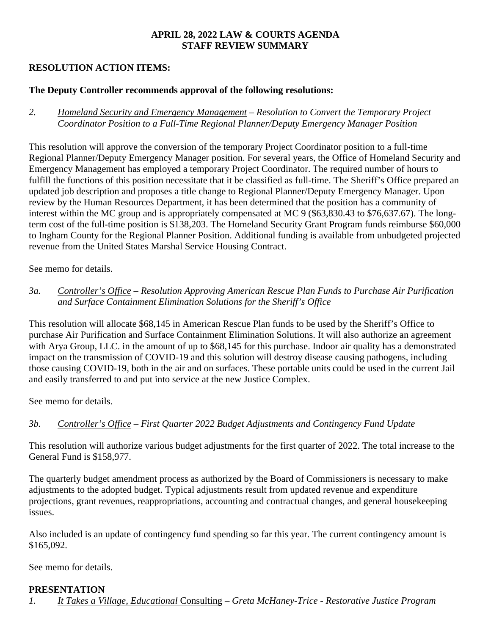### **APRIL 28, 2022 LAW & COURTS AGENDA STAFF REVIEW SUMMARY**

# **RESOLUTION ACTION ITEMS:**

### **The Deputy Controller recommends approval of the following resolutions:**

*2. Homeland Security and Emergency Management – Resolution to Convert the Temporary Project Coordinator Position to a Full-Time Regional Planner/Deputy Emergency Manager Position* 

This resolution will approve the conversion of the temporary Project Coordinator position to a full-time Regional Planner/Deputy Emergency Manager position. For several years, the Office of Homeland Security and Emergency Management has employed a temporary Project Coordinator. The required number of hours to fulfill the functions of this position necessitate that it be classified as full-time. The Sheriff's Office prepared an updated job description and proposes a title change to Regional Planner/Deputy Emergency Manager. Upon review by the Human Resources Department, it has been determined that the position has a community of interest within the MC group and is appropriately compensated at MC 9 (\$63,830.43 to \$76,637.67). The longterm cost of the full-time position is \$138,203. The Homeland Security Grant Program funds reimburse \$60,000 to Ingham County for the Regional Planner Position. Additional funding is available from unbudgeted projected revenue from the United States Marshal Service Housing Contract.

See memo for details.

# *3a. Controller's Office – Resolution Approving American Rescue Plan Funds to Purchase Air Purification and Surface Containment Elimination Solutions for the Sheriff's Office*

This resolution will allocate \$68,145 in American Rescue Plan funds to be used by the Sheriff's Office to purchase Air Purification and Surface Containment Elimination Solutions. It will also authorize an agreement with Arya Group, LLC. in the amount of up to \$68,145 for this purchase. Indoor air quality has a demonstrated impact on the transmission of COVID-19 and this solution will destroy disease causing pathogens, including those causing COVID-19, both in the air and on surfaces. These portable units could be used in the current Jail and easily transferred to and put into service at the new Justice Complex.

See memo for details.

# *3b. Controller's Office – First Quarter 2022 Budget Adjustments and Contingency Fund Update*

This resolution will authorize various budget adjustments for the first quarter of 2022. The total increase to the General Fund is \$158,977.

The quarterly budget amendment process as authorized by the Board of Commissioners is necessary to make adjustments to the adopted budget. Typical adjustments result from updated revenue and expenditure projections, grant revenues, reappropriations, accounting and contractual changes, and general housekeeping issues.

Also included is an update of contingency fund spending so far this year. The current contingency amount is \$165,092.

See memo for details.

### **PRESENTATION**

*1. It Takes a Village, Educational* Consulting – *Greta McHaney-Trice - Restorative Justice Program*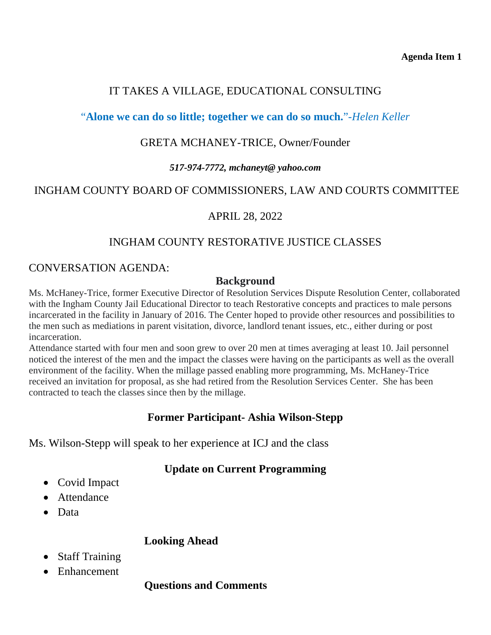# IT TAKES A VILLAGE, EDUCATIONAL CONSULTING

# <span id="page-17-0"></span>"**Alone we can do so little; together we can do so much.**"-*Helen Keller*

# GRETA MCHANEY-TRICE, Owner/Founder

# *517-974-7772, mchaneyt@ yahoo.com*

# INGHAM COUNTY BOARD OF COMMISSIONERS, LAW AND COURTS COMMITTEE

# APRIL 28, 2022

# INGHAM COUNTY RESTORATIVE JUSTICE CLASSES

# CONVERSATION AGENDA:

# **Background**

Ms. McHaney-Trice, former Executive Director of Resolution Services Dispute Resolution Center, collaborated with the Ingham County Jail Educational Director to teach Restorative concepts and practices to male persons incarcerated in the facility in January of 2016. The Center hoped to provide other resources and possibilities to the men such as mediations in parent visitation, divorce, landlord tenant issues, etc., either during or post incarceration.

Attendance started with four men and soon grew to over 20 men at times averaging at least 10. Jail personnel noticed the interest of the men and the impact the classes were having on the participants as well as the overall environment of the facility. When the millage passed enabling more programming, Ms. McHaney-Trice received an invitation for proposal, as she had retired from the Resolution Services Center. She has been contracted to teach the classes since then by the millage.

# **Former Participant- Ashia Wilson-Stepp**

Ms. Wilson-Stepp will speak to her experience at ICJ and the class

# **Update on Current Programming**

- Covid Impact
- Attendance
- Data

# **Looking Ahead**

- Staff Training
- Enhancement

# **Questions and Comments**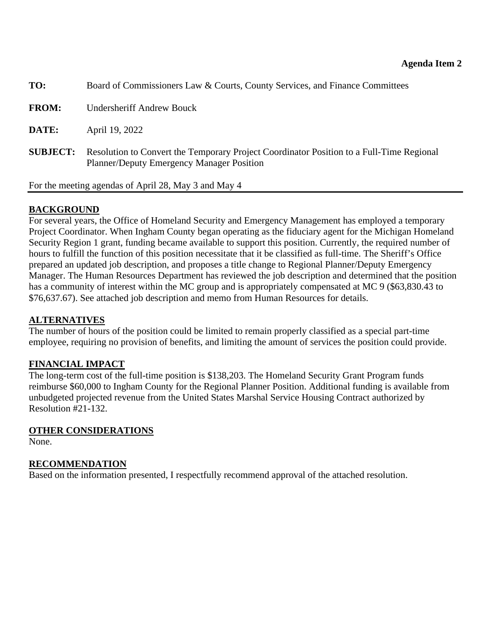<span id="page-18-0"></span>

| TO:             | Board of Commissioners Law & Courts, County Services, and Finance Committees                                                                 |
|-----------------|----------------------------------------------------------------------------------------------------------------------------------------------|
| <b>FROM:</b>    | <b>Undersheriff Andrew Bouck</b>                                                                                                             |
| DATE:           | April 19, 2022                                                                                                                               |
| <b>SUBJECT:</b> | Resolution to Convert the Temporary Project Coordinator Position to a Full-Time Regional<br><b>Planner/Deputy Emergency Manager Position</b> |

For the meeting agendas of April 28, May 3 and May 4

# **BACKGROUND**

For several years, the Office of Homeland Security and Emergency Management has employed a temporary Project Coordinator. When Ingham County began operating as the fiduciary agent for the Michigan Homeland Security Region 1 grant, funding became available to support this position. Currently, the required number of hours to fulfill the function of this position necessitate that it be classified as full-time. The Sheriff's Office prepared an updated job description, and proposes a title change to Regional Planner/Deputy Emergency Manager. The Human Resources Department has reviewed the job description and determined that the position has a community of interest within the MC group and is appropriately compensated at MC 9 (\$63,830.43 to \$76,637.67). See attached job description and memo from Human Resources for details.

# **ALTERNATIVES**

The number of hours of the position could be limited to remain properly classified as a special part-time employee, requiring no provision of benefits, and limiting the amount of services the position could provide.

# **FINANCIAL IMPACT**

The long-term cost of the full-time position is \$138,203. The Homeland Security Grant Program funds reimburse \$60,000 to Ingham County for the Regional Planner Position. Additional funding is available from unbudgeted projected revenue from the United States Marshal Service Housing Contract authorized by Resolution #21-132.

### **OTHER CONSIDERATIONS**

None.

# **RECOMMENDATION**

Based on the information presented, I respectfully recommend approval of the attached resolution.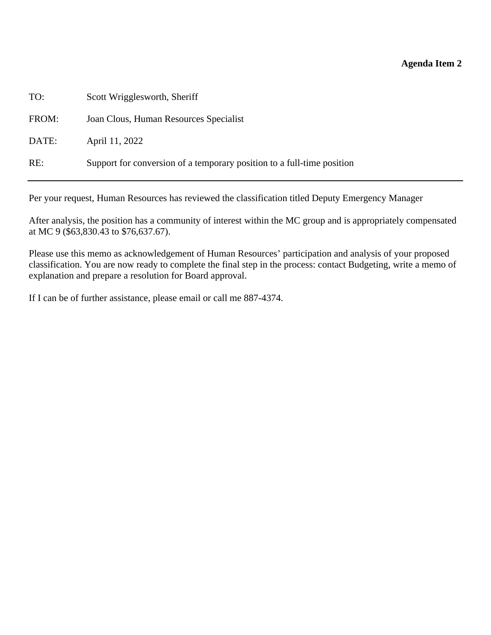#### **Agenda Item 2**

TO: Scott Wrigglesworth, Sheriff FROM: Joan Clous, Human Resources Specialist DATE: April 11, 2022

RE: Support for conversion of a temporary position to a full-time position

Per your request, Human Resources has reviewed the classification titled Deputy Emergency Manager

After analysis, the position has a community of interest within the MC group and is appropriately compensated at MC 9 (\$63,830.43 to \$76,637.67).

Please use this memo as acknowledgement of Human Resources' participation and analysis of your proposed classification. You are now ready to complete the final step in the process: contact Budgeting, write a memo of explanation and prepare a resolution for Board approval.

If I can be of further assistance, please email or call me 887-4374.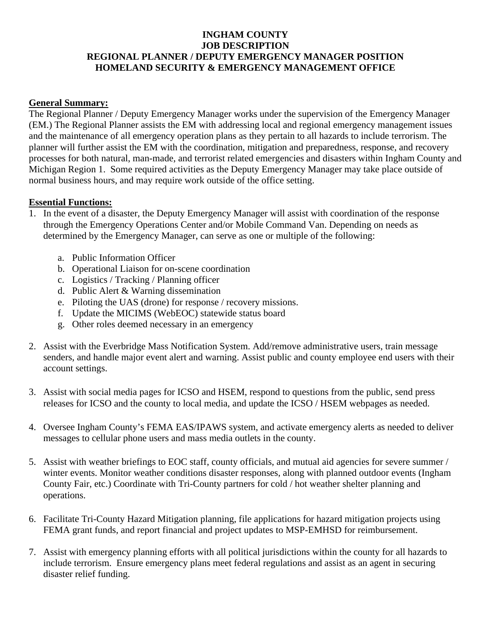### **INGHAM COUNTY JOB DESCRIPTION REGIONAL PLANNER / DEPUTY EMERGENCY MANAGER POSITION HOMELAND SECURITY & EMERGENCY MANAGEMENT OFFICE**

#### **General Summary:**

The Regional Planner / Deputy Emergency Manager works under the supervision of the Emergency Manager (EM.) The Regional Planner assists the EM with addressing local and regional emergency management issues and the maintenance of all emergency operation plans as they pertain to all hazards to include terrorism. The planner will further assist the EM with the coordination, mitigation and preparedness, response, and recovery processes for both natural, man-made, and terrorist related emergencies and disasters within Ingham County and Michigan Region 1. Some required activities as the Deputy Emergency Manager may take place outside of normal business hours, and may require work outside of the office setting.

#### **Essential Functions:**

- 1. In the event of a disaster, the Deputy Emergency Manager will assist with coordination of the response through the Emergency Operations Center and/or Mobile Command Van. Depending on needs as determined by the Emergency Manager, can serve as one or multiple of the following:
	- a. Public Information Officer
	- b. Operational Liaison for on-scene coordination
	- c. Logistics / Tracking / Planning officer
	- d. Public Alert & Warning dissemination
	- e. Piloting the UAS (drone) for response / recovery missions.
	- f. Update the MICIMS (WebEOC) statewide status board
	- g. Other roles deemed necessary in an emergency
- 2. Assist with the Everbridge Mass Notification System. Add/remove administrative users, train message senders, and handle major event alert and warning. Assist public and county employee end users with their account settings.
- 3. Assist with social media pages for ICSO and HSEM, respond to questions from the public, send press releases for ICSO and the county to local media, and update the ICSO / HSEM webpages as needed.
- 4. Oversee Ingham County's FEMA EAS/IPAWS system, and activate emergency alerts as needed to deliver messages to cellular phone users and mass media outlets in the county.
- 5. Assist with weather briefings to EOC staff, county officials, and mutual aid agencies for severe summer / winter events. Monitor weather conditions disaster responses, along with planned outdoor events (Ingham County Fair, etc.) Coordinate with Tri-County partners for cold / hot weather shelter planning and operations.
- 6. Facilitate Tri-County Hazard Mitigation planning, file applications for hazard mitigation projects using FEMA grant funds, and report financial and project updates to MSP-EMHSD for reimbursement.
- 7. Assist with emergency planning efforts with all political jurisdictions within the county for all hazards to include terrorism. Ensure emergency plans meet federal regulations and assist as an agent in securing disaster relief funding.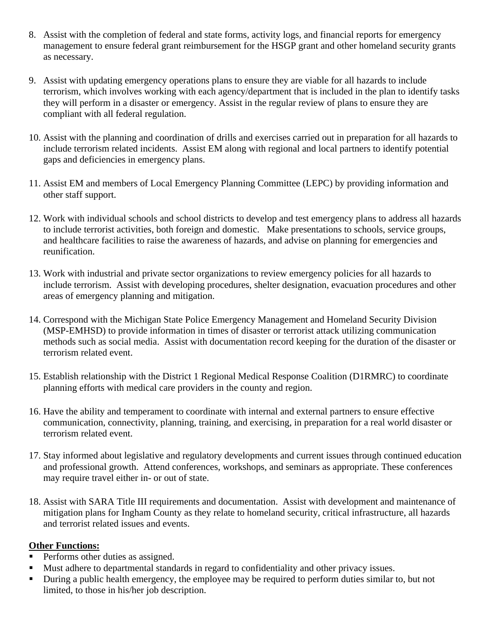- 8. Assist with the completion of federal and state forms, activity logs, and financial reports for emergency management to ensure federal grant reimbursement for the HSGP grant and other homeland security grants as necessary.
- 9. Assist with updating emergency operations plans to ensure they are viable for all hazards to include terrorism, which involves working with each agency/department that is included in the plan to identify tasks they will perform in a disaster or emergency. Assist in the regular review of plans to ensure they are compliant with all federal regulation.
- 10. Assist with the planning and coordination of drills and exercises carried out in preparation for all hazards to include terrorism related incidents. Assist EM along with regional and local partners to identify potential gaps and deficiencies in emergency plans.
- 11. Assist EM and members of Local Emergency Planning Committee (LEPC) by providing information and other staff support.
- 12. Work with individual schools and school districts to develop and test emergency plans to address all hazards to include terrorist activities, both foreign and domestic. Make presentations to schools, service groups, and healthcare facilities to raise the awareness of hazards, and advise on planning for emergencies and reunification.
- 13. Work with industrial and private sector organizations to review emergency policies for all hazards to include terrorism. Assist with developing procedures, shelter designation, evacuation procedures and other areas of emergency planning and mitigation.
- 14. Correspond with the Michigan State Police Emergency Management and Homeland Security Division (MSP-EMHSD) to provide information in times of disaster or terrorist attack utilizing communication methods such as social media. Assist with documentation record keeping for the duration of the disaster or terrorism related event.
- 15. Establish relationship with the District 1 Regional Medical Response Coalition (D1RMRC) to coordinate planning efforts with medical care providers in the county and region.
- 16. Have the ability and temperament to coordinate with internal and external partners to ensure effective communication, connectivity, planning, training, and exercising, in preparation for a real world disaster or terrorism related event.
- 17. Stay informed about legislative and regulatory developments and current issues through continued education and professional growth. Attend conferences, workshops, and seminars as appropriate. These conferences may require travel either in- or out of state.
- 18. Assist with SARA Title III requirements and documentation. Assist with development and maintenance of mitigation plans for Ingham County as they relate to homeland security, critical infrastructure, all hazards and terrorist related issues and events.

### **Other Functions:**

- Performs other duties as assigned.
- Must adhere to departmental standards in regard to confidentiality and other privacy issues.
- During a public health emergency, the employee may be required to perform duties similar to, but not limited, to those in his/her job description.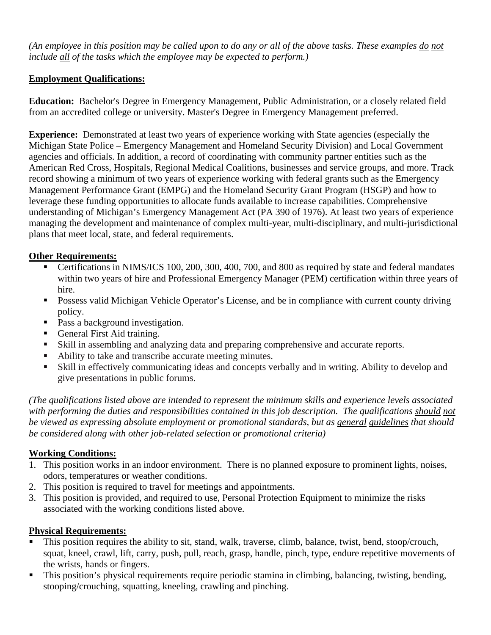*(An employee in this position may be called upon to do any or all of the above tasks. These examples do not include all of the tasks which the employee may be expected to perform.)* 

# **Employment Qualifications:**

**Education:** Bachelor's Degree in Emergency Management, Public Administration, or a closely related field from an accredited college or university. Master's Degree in Emergency Management preferred.

**Experience:** Demonstrated at least two years of experience working with State agencies (especially the Michigan State Police – Emergency Management and Homeland Security Division) and Local Government agencies and officials. In addition, a record of coordinating with community partner entities such as the American Red Cross, Hospitals, Regional Medical Coalitions, businesses and service groups, and more. Track record showing a minimum of two years of experience working with federal grants such as the Emergency Management Performance Grant (EMPG) and the Homeland Security Grant Program (HSGP) and how to leverage these funding opportunities to allocate funds available to increase capabilities. Comprehensive understanding of Michigan's Emergency Management Act (PA 390 of 1976). At least two years of experience managing the development and maintenance of complex multi-year, multi-disciplinary, and multi-jurisdictional plans that meet local, state, and federal requirements.

# **Other Requirements:**

- Certifications in NIMS/ICS 100, 200, 300, 400, 700, and 800 as required by state and federal mandates within two years of hire and Professional Emergency Manager (PEM) certification within three years of hire.
- **Possess valid Michigan Vehicle Operator's License, and be in compliance with current county driving** policy.
- Pass a background investigation.
- General First Aid training.
- Skill in assembling and analyzing data and preparing comprehensive and accurate reports.
- Ability to take and transcribe accurate meeting minutes.
- Skill in effectively communicating ideas and concepts verbally and in writing. Ability to develop and give presentations in public forums.

*(The qualifications listed above are intended to represent the minimum skills and experience levels associated*  with performing the duties and responsibilities contained in this job description. The qualifications should not *be viewed as expressing absolute employment or promotional standards, but as general guidelines that should be considered along with other job-related selection or promotional criteria)* 

# **Working Conditions:**

- 1. This position works in an indoor environment. There is no planned exposure to prominent lights, noises, odors, temperatures or weather conditions.
- 2. This position is required to travel for meetings and appointments.
- 3. This position is provided, and required to use, Personal Protection Equipment to minimize the risks associated with the working conditions listed above.

# **Physical Requirements:**

- This position requires the ability to sit, stand, walk, traverse, climb, balance, twist, bend, stoop/crouch, squat, kneel, crawl, lift, carry, push, pull, reach, grasp, handle, pinch, type, endure repetitive movements of the wrists, hands or fingers.
- This position's physical requirements require periodic stamina in climbing, balancing, twisting, bending, stooping/crouching, squatting, kneeling, crawling and pinching.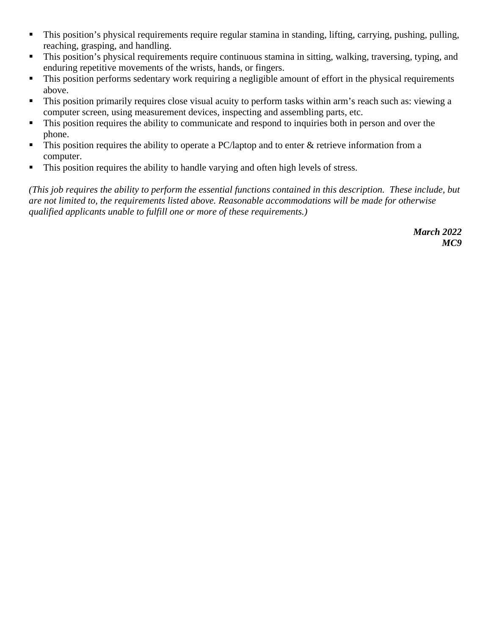- This position's physical requirements require regular stamina in standing, lifting, carrying, pushing, pulling, reaching, grasping, and handling.
- This position's physical requirements require continuous stamina in sitting, walking, traversing, typing, and enduring repetitive movements of the wrists, hands, or fingers.
- This position performs sedentary work requiring a negligible amount of effort in the physical requirements above.
- This position primarily requires close visual acuity to perform tasks within arm's reach such as: viewing a computer screen, using measurement devices, inspecting and assembling parts, etc.
- $\blacksquare$  This position requires the ability to communicate and respond to inquiries both in person and over the phone.
- $\blacksquare$  This position requires the ability to operate a PC/laptop and to enter & retrieve information from a computer.
- This position requires the ability to handle varying and often high levels of stress.

*(This job requires the ability to perform the essential functions contained in this description. These include, but are not limited to, the requirements listed above. Reasonable accommodations will be made for otherwise qualified applicants unable to fulfill one or more of these requirements.)*

> *March 2022 MC9*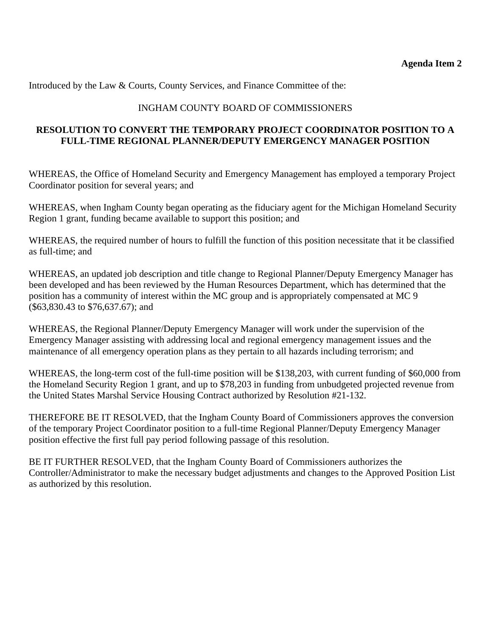Introduced by the Law & Courts, County Services, and Finance Committee of the:

# INGHAM COUNTY BOARD OF COMMISSIONERS

### **RESOLUTION TO CONVERT THE TEMPORARY PROJECT COORDINATOR POSITION TO A FULL-TIME REGIONAL PLANNER/DEPUTY EMERGENCY MANAGER POSITION**

WHEREAS, the Office of Homeland Security and Emergency Management has employed a temporary Project Coordinator position for several years; and

WHEREAS, when Ingham County began operating as the fiduciary agent for the Michigan Homeland Security Region 1 grant, funding became available to support this position; and

WHEREAS, the required number of hours to fulfill the function of this position necessitate that it be classified as full-time; and

WHEREAS, an updated job description and title change to Regional Planner/Deputy Emergency Manager has been developed and has been reviewed by the Human Resources Department, which has determined that the position has a community of interest within the MC group and is appropriately compensated at MC 9 (\$63,830.43 to \$76,637.67); and

WHEREAS, the Regional Planner/Deputy Emergency Manager will work under the supervision of the Emergency Manager assisting with addressing local and regional emergency management issues and the maintenance of all emergency operation plans as they pertain to all hazards including terrorism; and

WHEREAS, the long-term cost of the full-time position will be \$138,203, with current funding of \$60,000 from the Homeland Security Region 1 grant, and up to \$78,203 in funding from unbudgeted projected revenue from the United States Marshal Service Housing Contract authorized by Resolution #21-132.

THEREFORE BE IT RESOLVED, that the Ingham County Board of Commissioners approves the conversion of the temporary Project Coordinator position to a full-time Regional Planner/Deputy Emergency Manager position effective the first full pay period following passage of this resolution.

BE IT FURTHER RESOLVED, that the Ingham County Board of Commissioners authorizes the Controller/Administrator to make the necessary budget adjustments and changes to the Approved Position List as authorized by this resolution.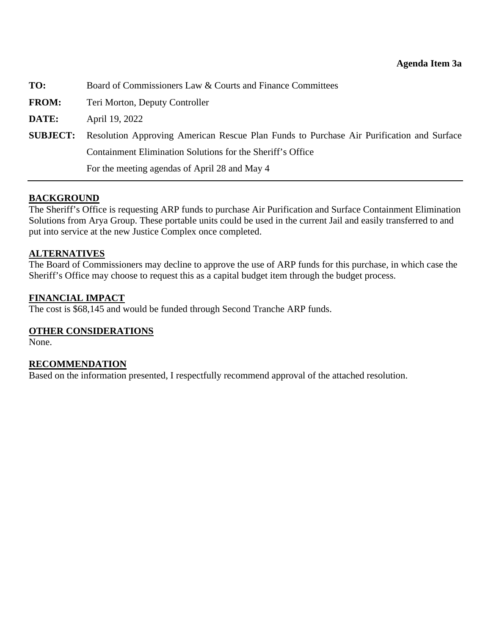<span id="page-25-0"></span>

| TO:          | Board of Commissioners Law & Courts and Finance Committees                                               |
|--------------|----------------------------------------------------------------------------------------------------------|
| <b>FROM:</b> | Teri Morton, Deputy Controller                                                                           |
| DATE:        | April 19, 2022                                                                                           |
|              | <b>SUBJECT:</b> Resolution Approving American Rescue Plan Funds to Purchase Air Purification and Surface |
|              | Containment Elimination Solutions for the Sheriff's Office                                               |
|              | For the meeting agendas of April 28 and May 4                                                            |

### **BACKGROUND**

The Sheriff's Office is requesting ARP funds to purchase Air Purification and Surface Containment Elimination Solutions from Arya Group. These portable units could be used in the current Jail and easily transferred to and put into service at the new Justice Complex once completed.

#### **ALTERNATIVES**

The Board of Commissioners may decline to approve the use of ARP funds for this purchase, in which case the Sheriff's Office may choose to request this as a capital budget item through the budget process.

#### **FINANCIAL IMPACT**

The cost is \$68,145 and would be funded through Second Tranche ARP funds.

#### **OTHER CONSIDERATIONS**

None.

#### **RECOMMENDATION**

Based on the information presented, I respectfully recommend approval of the attached resolution.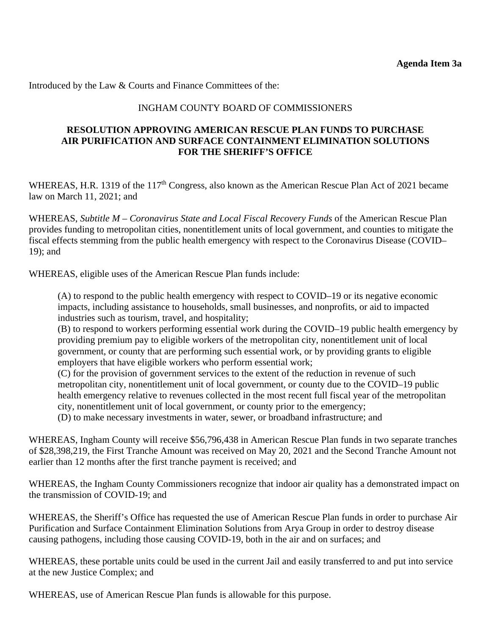Introduced by the Law & Courts and Finance Committees of the:

### INGHAM COUNTY BOARD OF COMMISSIONERS

### **RESOLUTION APPROVING AMERICAN RESCUE PLAN FUNDS TO PURCHASE AIR PURIFICATION AND SURFACE CONTAINMENT ELIMINATION SOLUTIONS FOR THE SHERIFF'S OFFICE**

WHEREAS, H.R. 1319 of the 117<sup>th</sup> Congress, also known as the American Rescue Plan Act of 2021 became law on March 11, 2021; and

WHEREAS, *Subtitle M – Coronavirus State and Local Fiscal Recovery Funds* of the American Rescue Plan provides funding to metropolitan cities, nonentitlement units of local government, and counties to mitigate the fiscal effects stemming from the public health emergency with respect to the Coronavirus Disease (COVID– 19); and

WHEREAS, eligible uses of the American Rescue Plan funds include:

(A) to respond to the public health emergency with respect to COVID–19 or its negative economic impacts, including assistance to households, small businesses, and nonprofits, or aid to impacted industries such as tourism, travel, and hospitality;

(B) to respond to workers performing essential work during the COVID–19 public health emergency by providing premium pay to eligible workers of the metropolitan city, nonentitlement unit of local government, or county that are performing such essential work, or by providing grants to eligible employers that have eligible workers who perform essential work;

(C) for the provision of government services to the extent of the reduction in revenue of such metropolitan city, nonentitlement unit of local government, or county due to the COVID–19 public health emergency relative to revenues collected in the most recent full fiscal year of the metropolitan city, nonentitlement unit of local government, or county prior to the emergency;

(D) to make necessary investments in water, sewer, or broadband infrastructure; and

WHEREAS, Ingham County will receive \$56,796,438 in American Rescue Plan funds in two separate tranches of \$28,398,219, the First Tranche Amount was received on May 20, 2021 and the Second Tranche Amount not earlier than 12 months after the first tranche payment is received; and

WHEREAS, the Ingham County Commissioners recognize that indoor air quality has a demonstrated impact on the transmission of COVID-19; and

WHEREAS, the Sheriff's Office has requested the use of American Rescue Plan funds in order to purchase Air Purification and Surface Containment Elimination Solutions from Arya Group in order to destroy disease causing pathogens, including those causing COVID-19, both in the air and on surfaces; and

WHEREAS, these portable units could be used in the current Jail and easily transferred to and put into service at the new Justice Complex; and

WHEREAS, use of American Rescue Plan funds is allowable for this purpose.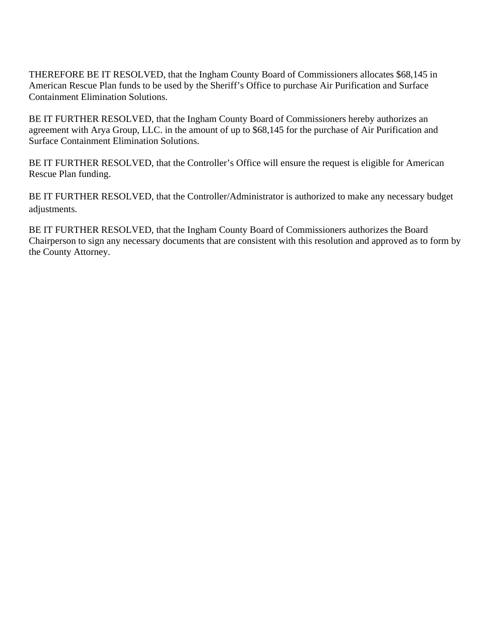THEREFORE BE IT RESOLVED, that the Ingham County Board of Commissioners allocates \$68,145 in American Rescue Plan funds to be used by the Sheriff's Office to purchase Air Purification and Surface Containment Elimination Solutions.

BE IT FURTHER RESOLVED, that the Ingham County Board of Commissioners hereby authorizes an agreement with Arya Group, LLC. in the amount of up to \$68,145 for the purchase of Air Purification and Surface Containment Elimination Solutions.

BE IT FURTHER RESOLVED, that the Controller's Office will ensure the request is eligible for American Rescue Plan funding.

BE IT FURTHER RESOLVED, that the Controller/Administrator is authorized to make any necessary budget adjustments.

BE IT FURTHER RESOLVED, that the Ingham County Board of Commissioners authorizes the Board Chairperson to sign any necessary documents that are consistent with this resolution and approved as to form by the County Attorney.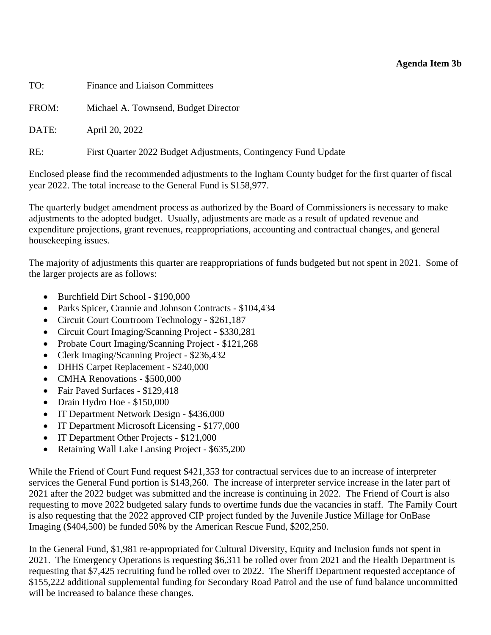### **Agenda Item 3b**

<span id="page-28-0"></span>

| TO:   | <b>Finance and Liaison Committees</b>                          |
|-------|----------------------------------------------------------------|
| FROM: | Michael A. Townsend, Budget Director                           |
| DATE: | April 20, 2022                                                 |
| RE:   | First Quarter 2022 Budget Adjustments, Contingency Fund Update |

Enclosed please find the recommended adjustments to the Ingham County budget for the first quarter of fiscal year 2022. The total increase to the General Fund is \$158,977.

The quarterly budget amendment process as authorized by the Board of Commissioners is necessary to make adjustments to the adopted budget. Usually, adjustments are made as a result of updated revenue and expenditure projections, grant revenues, reappropriations, accounting and contractual changes, and general housekeeping issues.

The majority of adjustments this quarter are reappropriations of funds budgeted but not spent in 2021. Some of the larger projects are as follows:

- Burchfield Dirt School \$190,000
- Parks Spicer, Crannie and Johnson Contracts \$104,434
- Circuit Court Courtroom Technology \$261,187
- Circuit Court Imaging/Scanning Project \$330,281
- Probate Court Imaging/Scanning Project \$121,268
- Clerk Imaging/Scanning Project \$236,432
- DHHS Carpet Replacement \$240,000
- CMHA Renovations \$500,000
- Fair Paved Surfaces \$129,418
- Drain Hydro Hoe \$150,000
- IT Department Network Design \$436,000
- IT Department Microsoft Licensing \$177,000
- IT Department Other Projects \$121,000
- Retaining Wall Lake Lansing Project \$635,200

While the Friend of Court Fund request \$421,353 for contractual services due to an increase of interpreter services the General Fund portion is \$143,260. The increase of interpreter service increase in the later part of 2021 after the 2022 budget was submitted and the increase is continuing in 2022. The Friend of Court is also requesting to move 2022 budgeted salary funds to overtime funds due the vacancies in staff. The Family Court is also requesting that the 2022 approved CIP project funded by the Juvenile Justice Millage for OnBase Imaging (\$404,500) be funded 50% by the American Rescue Fund, \$202,250.

In the General Fund, \$1,981 re-appropriated for Cultural Diversity, Equity and Inclusion funds not spent in 2021. The Emergency Operations is requesting \$6,311 be rolled over from 2021 and the Health Department is requesting that \$7,425 recruiting fund be rolled over to 2022. The Sheriff Department requested acceptance of \$155,222 additional supplemental funding for Secondary Road Patrol and the use of fund balance uncommitted will be increased to balance these changes.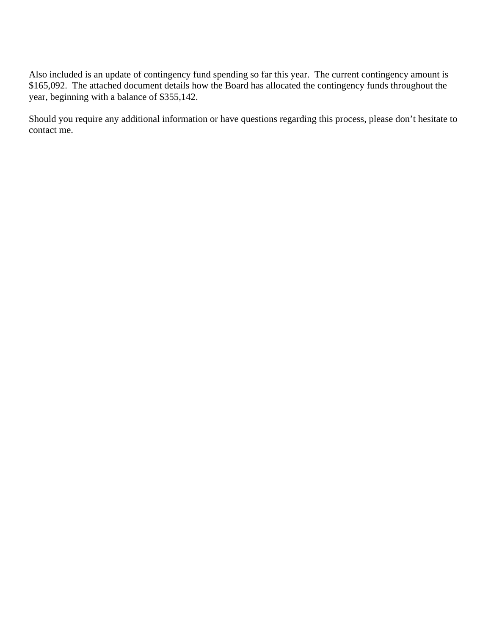Also included is an update of contingency fund spending so far this year. The current contingency amount is \$165,092. The attached document details how the Board has allocated the contingency funds throughout the year, beginning with a balance of \$355,142.

Should you require any additional information or have questions regarding this process, please don't hesitate to contact me.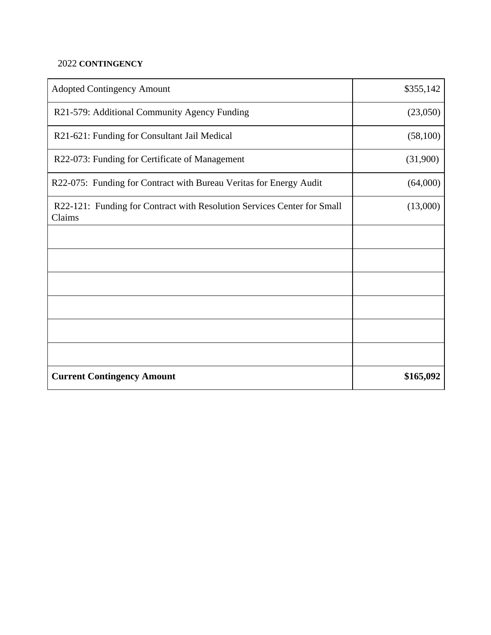# 2022 **CONTINGENCY**

| <b>Adopted Contingency Amount</b>                                                 | \$355,142 |
|-----------------------------------------------------------------------------------|-----------|
| R21-579: Additional Community Agency Funding                                      | (23,050)  |
| R21-621: Funding for Consultant Jail Medical                                      | (58,100)  |
| R22-073: Funding for Certificate of Management                                    | (31,900)  |
| R22-075: Funding for Contract with Bureau Veritas for Energy Audit                | (64,000)  |
| R22-121: Funding for Contract with Resolution Services Center for Small<br>Claims | (13,000)  |
|                                                                                   |           |
|                                                                                   |           |
|                                                                                   |           |
|                                                                                   |           |
|                                                                                   |           |
|                                                                                   |           |
| <b>Current Contingency Amount</b>                                                 | \$165,092 |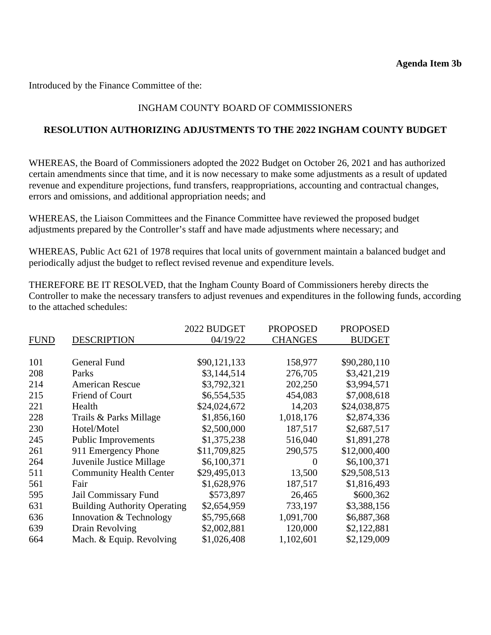Introduced by the Finance Committee of the:

# INGHAM COUNTY BOARD OF COMMISSIONERS

### **RESOLUTION AUTHORIZING ADJUSTMENTS TO THE 2022 INGHAM COUNTY BUDGET**

WHEREAS, the Board of Commissioners adopted the 2022 Budget on October 26, 2021 and has authorized certain amendments since that time, and it is now necessary to make some adjustments as a result of updated revenue and expenditure projections, fund transfers, reappropriations, accounting and contractual changes, errors and omissions, and additional appropriation needs; and

WHEREAS, the Liaison Committees and the Finance Committee have reviewed the proposed budget adjustments prepared by the Controller's staff and have made adjustments where necessary; and

WHEREAS, Public Act 621 of 1978 requires that local units of government maintain a balanced budget and periodically adjust the budget to reflect revised revenue and expenditure levels.

THEREFORE BE IT RESOLVED, that the Ingham County Board of Commissioners hereby directs the Controller to make the necessary transfers to adjust revenues and expenditures in the following funds, according to the attached schedules:

|             |                                     | 2022 BUDGET  | <b>PROPOSED</b> | <b>PROPOSED</b> |
|-------------|-------------------------------------|--------------|-----------------|-----------------|
| <b>FUND</b> | <b>DESCRIPTION</b>                  | 04/19/22     | <b>CHANGES</b>  | <b>BUDGET</b>   |
|             |                                     |              |                 |                 |
| 101         | General Fund                        | \$90,121,133 | 158,977         | \$90,280,110    |
| 208         | Parks                               | \$3,144,514  | 276,705         | \$3,421,219     |
| 214         | <b>American Rescue</b>              | \$3,792,321  | 202,250         | \$3,994,571     |
| 215         | <b>Friend of Court</b>              | \$6,554,535  | 454,083         | \$7,008,618     |
| 221         | Health                              | \$24,024,672 | 14,203          | \$24,038,875    |
| 228         | Trails & Parks Millage              | \$1,856,160  | 1,018,176       | \$2,874,336     |
| 230         | Hotel/Motel                         | \$2,500,000  | 187,517         | \$2,687,517     |
| 245         | <b>Public Improvements</b>          | \$1,375,238  | 516,040         | \$1,891,278     |
| 261         | 911 Emergency Phone                 | \$11,709,825 | 290,575         | \$12,000,400    |
| 264         | Juvenile Justice Millage            | \$6,100,371  | $\Omega$        | \$6,100,371     |
| 511         | <b>Community Health Center</b>      | \$29,495,013 | 13,500          | \$29,508,513    |
| 561         | Fair                                | \$1,628,976  | 187,517         | \$1,816,493     |
| 595         | Jail Commissary Fund                | \$573,897    | 26,465          | \$600,362       |
| 631         | <b>Building Authority Operating</b> | \$2,654,959  | 733,197         | \$3,388,156     |
| 636         | Innovation & Technology             | \$5,795,668  | 1,091,700       | \$6,887,368     |
| 639         | Drain Revolving                     | \$2,002,881  | 120,000         | \$2,122,881     |
| 664         | Mach. & Equip. Revolving            | \$1,026,408  | 1,102,601       | \$2,129,009     |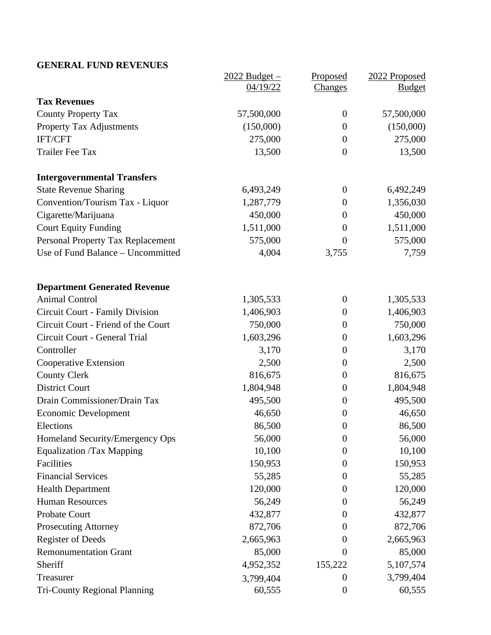# **GENERAL FUND REVENUES**

|                                     | <u> 2022 Budget – </u> | Proposed         | 2022 Proposed |
|-------------------------------------|------------------------|------------------|---------------|
|                                     | 04/19/22               | Changes          | <b>Budget</b> |
| <b>Tax Revenues</b>                 |                        |                  |               |
| <b>County Property Tax</b>          | 57,500,000             | $\overline{0}$   | 57,500,000    |
| <b>Property Tax Adjustments</b>     | (150,000)              | $\boldsymbol{0}$ | (150,000)     |
| IFT/CFT                             | 275,000                | $\boldsymbol{0}$ | 275,000       |
| <b>Trailer Fee Tax</b>              | 13,500                 | $\overline{0}$   | 13,500        |
| <b>Intergovernmental Transfers</b>  |                        |                  |               |
| <b>State Revenue Sharing</b>        | 6,493,249              | $\overline{0}$   | 6,492,249     |
| Convention/Tourism Tax - Liquor     | 1,287,779              | $\overline{0}$   | 1,356,030     |
| Cigarette/Marijuana                 | 450,000                | $\boldsymbol{0}$ | 450,000       |
| <b>Court Equity Funding</b>         | 1,511,000              | $\boldsymbol{0}$ | 1,511,000     |
| Personal Property Tax Replacement   | 575,000                | $\overline{0}$   | 575,000       |
| Use of Fund Balance - Uncommitted   | 4,004                  | 3,755            | 7,759         |
| <b>Department Generated Revenue</b> |                        |                  |               |
| <b>Animal Control</b>               | 1,305,533              | $\boldsymbol{0}$ | 1,305,533     |
| Circuit Court - Family Division     | 1,406,903              | $\boldsymbol{0}$ | 1,406,903     |
| Circuit Court - Friend of the Court | 750,000                | $\boldsymbol{0}$ | 750,000       |
| Circuit Court - General Trial       | 1,603,296              | $\boldsymbol{0}$ | 1,603,296     |
| Controller                          | 3,170                  | $\boldsymbol{0}$ | 3,170         |
| Cooperative Extension               | 2,500                  | $\boldsymbol{0}$ | 2,500         |
| <b>County Clerk</b>                 | 816,675                | $\boldsymbol{0}$ | 816,675       |
| <b>District Court</b>               | 1,804,948              | $\boldsymbol{0}$ | 1,804,948     |
| Drain Commissioner/Drain Tax        | 495,500                | $\boldsymbol{0}$ | 495,500       |
| <b>Economic Development</b>         | 46,650                 | $\boldsymbol{0}$ | 46,650        |
| Elections                           | 86,500                 | $\boldsymbol{0}$ | 86,500        |
| Homeland Security/Emergency Ops     | 56,000                 | $\theta$         | 56,000        |
| <b>Equalization /Tax Mapping</b>    | 10,100                 | $\theta$         | 10,100        |
| Facilities                          | 150,953                | $\boldsymbol{0}$ | 150,953       |
| <b>Financial Services</b>           | 55,285                 | $\theta$         | 55,285        |
| <b>Health Department</b>            | 120,000                | $\theta$         | 120,000       |
| <b>Human Resources</b>              | 56,249                 | $\theta$         | 56,249        |
| Probate Court                       | 432,877                | $\overline{0}$   | 432,877       |
| <b>Prosecuting Attorney</b>         | 872,706                | $\overline{0}$   | 872,706       |
| <b>Register of Deeds</b>            | 2,665,963              | $\theta$         | 2,665,963     |
| <b>Remonumentation Grant</b>        | 85,000                 | $\overline{0}$   | 85,000        |
| Sheriff                             | 4,952,352              | 155,222          | 5,107,574     |
| Treasurer                           | 3,799,404              | $\theta$         | 3,799,404     |
| <b>Tri-County Regional Planning</b> | 60,555                 | $\boldsymbol{0}$ | 60,555        |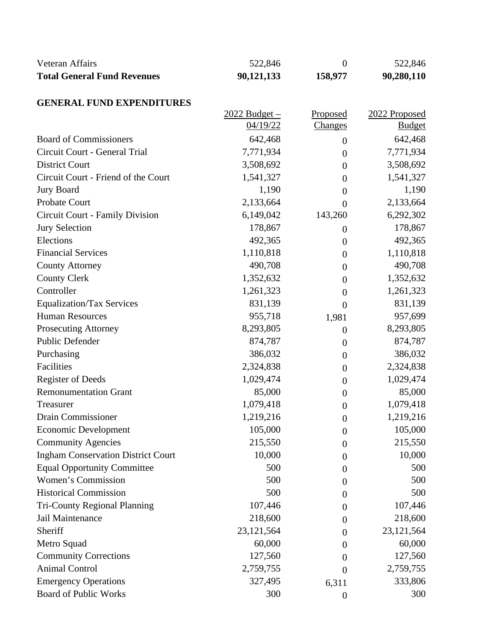| Veteran Affairs<br><b>Total General Fund Revenues</b> | 522,846<br>90,121,133 | $\boldsymbol{0}$<br>158,977 | 522,846<br>90,280,110 |
|-------------------------------------------------------|-----------------------|-----------------------------|-----------------------|
| <b>GENERAL FUND EXPENDITURES</b>                      |                       |                             |                       |
|                                                       | $2022$ Budget –       | Proposed                    | 2022 Proposed         |
|                                                       | 04/19/22              | <b>Changes</b>              | <b>Budget</b>         |
| <b>Board of Commissioners</b>                         | 642,468               | $\boldsymbol{0}$            | 642,468               |
| Circuit Court - General Trial                         | 7,771,934             | $\overline{0}$              | 7,771,934             |
| <b>District Court</b>                                 | 3,508,692             | $\boldsymbol{0}$            | 3,508,692             |
| Circuit Court - Friend of the Court                   | 1,541,327             | $\boldsymbol{0}$            | 1,541,327             |
| <b>Jury Board</b>                                     | 1,190                 | $\overline{0}$              | 1,190                 |
| Probate Court                                         | 2,133,664             | $\overline{0}$              | 2,133,664             |
| Circuit Court - Family Division                       | 6,149,042             | 143,260                     | 6,292,302             |
| <b>Jury Selection</b>                                 | 178,867               | $\boldsymbol{0}$            | 178,867               |
| Elections                                             | 492,365               | $\boldsymbol{0}$            | 492,365               |
| <b>Financial Services</b>                             | 1,110,818             | $\overline{0}$              | 1,110,818             |
| <b>County Attorney</b>                                | 490,708               | $\theta$                    | 490,708               |
| <b>County Clerk</b>                                   | 1,352,632             | $\boldsymbol{0}$            | 1,352,632             |
| Controller                                            | 1,261,323             | $\overline{0}$              | 1,261,323             |
| <b>Equalization/Tax Services</b>                      | 831,139               | $\overline{0}$              | 831,139               |
| <b>Human Resources</b>                                | 955,718               | 1,981                       | 957,699               |
| <b>Prosecuting Attorney</b>                           | 8,293,805             | $\boldsymbol{0}$            | 8,293,805             |
| Public Defender                                       | 874,787               | $\boldsymbol{0}$            | 874,787               |
| Purchasing                                            | 386,032               | $\overline{0}$              | 386,032               |
| Facilities                                            | 2,324,838             | $\theta$                    | 2,324,838             |
| <b>Register of Deeds</b>                              | 1,029,474             | $\boldsymbol{0}$            | 1,029,474             |
| <b>Remonumentation Grant</b>                          | 85,000                | $\overline{0}$              | 85,000                |
| Treasurer                                             | 1,079,418             | $\overline{0}$              | 1,079,418             |
| Drain Commissioner                                    | 1,219,216             | $\boldsymbol{0}$            | 1,219,216             |
| <b>Economic Development</b>                           | 105,000               | $\overline{0}$              | 105,000               |
| <b>Community Agencies</b>                             | 215,550               | $\overline{0}$              | 215,550               |
| <b>Ingham Conservation District Court</b>             | 10,000                | $\boldsymbol{0}$            | 10,000                |
| <b>Equal Opportunity Committee</b>                    | 500                   | $\Omega$                    | 500                   |
| Women's Commission                                    | 500                   | $\boldsymbol{0}$            | 500                   |
| <b>Historical Commission</b>                          | 500                   | $\overline{0}$              | 500                   |
| <b>Tri-County Regional Planning</b>                   | 107,446               | $\Omega$                    | 107,446               |
| Jail Maintenance                                      | 218,600               | $\overline{0}$              | 218,600               |
| Sheriff                                               | 23, 121, 564          | $\overline{0}$              | 23, 121, 564          |
| Metro Squad                                           | 60,000                | $\Omega$                    | 60,000                |
| <b>Community Corrections</b>                          | 127,560               | $\theta$                    | 127,560               |
| <b>Animal Control</b>                                 | 2,759,755             | $\theta$                    | 2,759,755             |
| <b>Emergency Operations</b>                           | 327,495               | 6,311                       | 333,806               |
| <b>Board of Public Works</b>                          | 300                   | $\theta$                    | 300                   |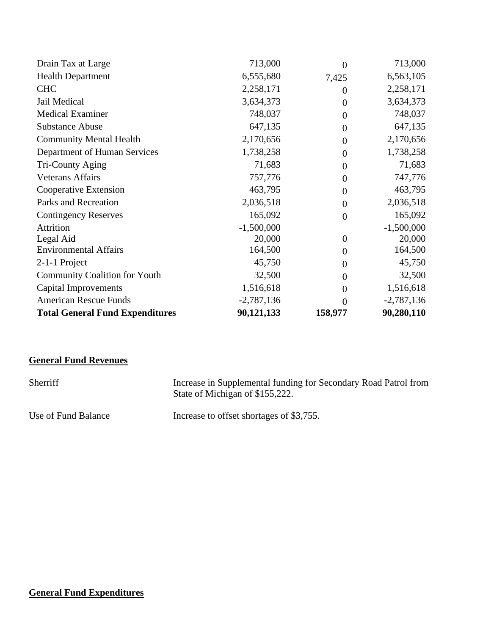| Drain Tax at Large                     | 713,000      | $\theta$       | 713,000      |
|----------------------------------------|--------------|----------------|--------------|
| <b>Health Department</b>               | 6,555,680    | 7,425          | 6,563,105    |
| <b>CHC</b>                             | 2,258,171    | $\Omega$       | 2,258,171    |
| Jail Medical                           | 3,634,373    | $\theta$       | 3,634,373    |
| <b>Medical Examiner</b>                | 748,037      | $\overline{0}$ | 748,037      |
| <b>Substance Abuse</b>                 | 647,135      | $\overline{0}$ | 647,135      |
| <b>Community Mental Health</b>         | 2,170,656    | $\overline{0}$ | 2,170,656    |
| Department of Human Services           | 1,738,258    | $\overline{0}$ | 1,738,258    |
| Tri-County Aging                       | 71,683       | $\theta$       | 71,683       |
| <b>Veterans Affairs</b>                | 757,776      | $\overline{0}$ | 747,776      |
| Cooperative Extension                  | 463,795      | $\overline{0}$ | 463,795      |
| Parks and Recreation                   | 2,036,518    | $\overline{0}$ | 2,036,518    |
| <b>Contingency Reserves</b>            | 165,092      | $\theta$       | 165,092      |
| Attrition                              | $-1,500,000$ |                | $-1,500,000$ |
| Legal Aid                              | 20,000       | $\theta$       | 20,000       |
| <b>Environmental Affairs</b>           | 164,500      | $\overline{0}$ | 164,500      |
| 2-1-1 Project                          | 45,750       | $\overline{0}$ | 45,750       |
| <b>Community Coalition for Youth</b>   | 32,500       | $\overline{0}$ | 32,500       |
| <b>Capital Improvements</b>            | 1,516,618    | $\Omega$       | 1,516,618    |
| <b>American Rescue Funds</b>           | $-2,787,136$ | 0              | $-2,787,136$ |
| <b>Total General Fund Expenditures</b> | 90,121,133   | 158,977        | 90,280,110   |

# **General Fund Revenues**

| Sherriff            | Increase in Supplemental funding for Secondary Road Patrol from<br>State of Michigan of \$155,222. |
|---------------------|----------------------------------------------------------------------------------------------------|
| Use of Fund Balance | Increase to offset shortages of \$3,755.                                                           |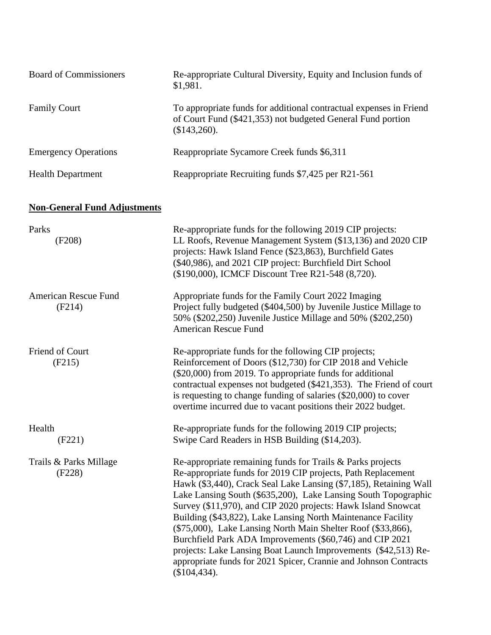| <b>Board of Commissioners</b>       | Re-appropriate Cultural Diversity, Equity and Inclusion funds of<br>\$1,981.                                                                                                                                                                                                                                                                                                                                                                                                                                                                                                                                                                                                         |
|-------------------------------------|--------------------------------------------------------------------------------------------------------------------------------------------------------------------------------------------------------------------------------------------------------------------------------------------------------------------------------------------------------------------------------------------------------------------------------------------------------------------------------------------------------------------------------------------------------------------------------------------------------------------------------------------------------------------------------------|
| <b>Family Court</b>                 | To appropriate funds for additional contractual expenses in Friend<br>of Court Fund (\$421,353) not budgeted General Fund portion<br>(\$143,260).                                                                                                                                                                                                                                                                                                                                                                                                                                                                                                                                    |
| <b>Emergency Operations</b>         | Reappropriate Sycamore Creek funds \$6,311                                                                                                                                                                                                                                                                                                                                                                                                                                                                                                                                                                                                                                           |
| <b>Health Department</b>            | Reappropriate Recruiting funds \$7,425 per R21-561                                                                                                                                                                                                                                                                                                                                                                                                                                                                                                                                                                                                                                   |
| <b>Non-General Fund Adjustments</b> |                                                                                                                                                                                                                                                                                                                                                                                                                                                                                                                                                                                                                                                                                      |
| Parks<br>(F208)                     | Re-appropriate funds for the following 2019 CIP projects:<br>LL Roofs, Revenue Management System (\$13,136) and 2020 CIP<br>projects: Hawk Island Fence (\$23,863), Burchfield Gates<br>(\$40,986), and 2021 CIP project: Burchfield Dirt School<br>(\$190,000), ICMCF Discount Tree R21-548 (8,720).                                                                                                                                                                                                                                                                                                                                                                                |
| American Rescue Fund<br>(F214)      | Appropriate funds for the Family Court 2022 Imaging<br>Project fully budgeted (\$404,500) by Juvenile Justice Millage to<br>50% (\$202,250) Juvenile Justice Millage and 50% (\$202,250)<br>American Rescue Fund                                                                                                                                                                                                                                                                                                                                                                                                                                                                     |
| Friend of Court<br>(F215)           | Re-appropriate funds for the following CIP projects;<br>Reinforcement of Doors (\$12,730) for CIP 2018 and Vehicle<br>(\$20,000) from 2019. To appropriate funds for additional<br>contractual expenses not budgeted (\$421,353). The Friend of court<br>is requesting to change funding of salaries (\$20,000) to cover<br>overtime incurred due to vacant positions their 2022 budget.                                                                                                                                                                                                                                                                                             |
| Health<br>(F221)                    | Re-appropriate funds for the following 2019 CIP projects;<br>Swipe Card Readers in HSB Building (\$14,203).                                                                                                                                                                                                                                                                                                                                                                                                                                                                                                                                                                          |
| Trails & Parks Millage<br>(F228)    | Re-appropriate remaining funds for Trails & Parks projects<br>Re-appropriate funds for 2019 CIP projects, Path Replacement<br>Hawk (\$3,440), Crack Seal Lake Lansing (\$7,185), Retaining Wall<br>Lake Lansing South (\$635,200), Lake Lansing South Topographic<br>Survey (\$11,970), and CIP 2020 projects: Hawk Island Snowcat<br>Building (\$43,822), Lake Lansing North Maintenance Facility<br>(\$75,000), Lake Lansing North Main Shelter Roof (\$33,866),<br>Burchfield Park ADA Improvements (\$60,746) and CIP 2021<br>projects: Lake Lansing Boat Launch Improvements (\$42,513) Re-<br>appropriate funds for 2021 Spicer, Crannie and Johnson Contracts<br>(\$104,434). |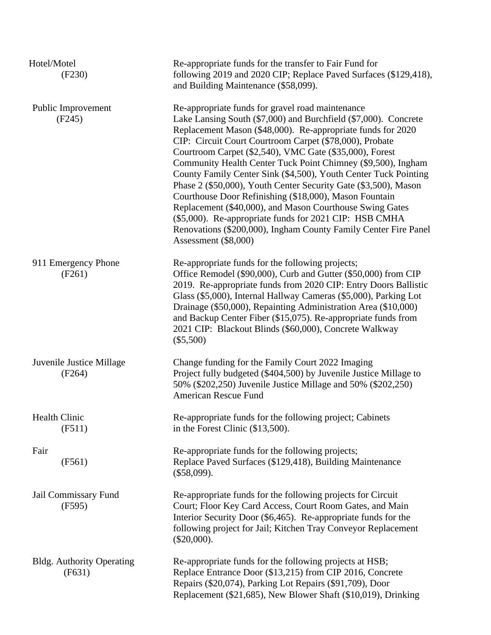| Hotel/Motel<br>(F230)                      | Re-appropriate funds for the transfer to Fair Fund for<br>following 2019 and 2020 CIP; Replace Paved Surfaces (\$129,418),<br>and Building Maintenance (\$58,099).                                                                                                                                                                                                                                                                                                                                                                                                                                                                                                                                                                                                                        |
|--------------------------------------------|-------------------------------------------------------------------------------------------------------------------------------------------------------------------------------------------------------------------------------------------------------------------------------------------------------------------------------------------------------------------------------------------------------------------------------------------------------------------------------------------------------------------------------------------------------------------------------------------------------------------------------------------------------------------------------------------------------------------------------------------------------------------------------------------|
| Public Improvement<br>(F245)               | Re-appropriate funds for gravel road maintenance<br>Lake Lansing South (\$7,000) and Burchfield (\$7,000). Concrete<br>Replacement Mason (\$48,000). Re-appropriate funds for 2020<br>CIP: Circuit Court Courtroom Carpet (\$78,000), Probate<br>Courtroom Carpet (\$2,540), VMC Gate (\$35,000), Forest<br>Community Health Center Tuck Point Chimney (\$9,500), Ingham<br>County Family Center Sink (\$4,500), Youth Center Tuck Pointing<br>Phase 2 (\$50,000), Youth Center Security Gate (\$3,500), Mason<br>Courthouse Door Refinishing (\$18,000), Mason Fountain<br>Replacement (\$40,000), and Mason Courthouse Swing Gates<br>(\$5,000). Re-appropriate funds for 2021 CIP: HSB CMHA<br>Renovations (\$200,000), Ingham County Family Center Fire Panel<br>Assessment (\$8,000) |
| 911 Emergency Phone<br>(F261)              | Re-appropriate funds for the following projects;<br>Office Remodel (\$90,000), Curb and Gutter (\$50,000) from CIP<br>2019. Re-appropriate funds from 2020 CIP: Entry Doors Ballistic<br>Glass (\$5,000), Internal Hallway Cameras (\$5,000), Parking Lot<br>Drainage (\$50,000), Repainting Administration Area (\$10,000)<br>and Backup Center Fiber (\$15,075). Re-appropriate funds from<br>2021 CIP: Blackout Blinds (\$60,000), Concrete Walkway<br>$(\$5,500)$                                                                                                                                                                                                                                                                                                                     |
| Juvenile Justice Millage<br>(F264)         | Change funding for the Family Court 2022 Imaging<br>Project fully budgeted (\$404,500) by Juvenile Justice Millage to<br>50% (\$202,250) Juvenile Justice Millage and 50% (\$202,250)<br>American Rescue Fund                                                                                                                                                                                                                                                                                                                                                                                                                                                                                                                                                                             |
| Health Clinic<br>(F511)                    | Re-appropriate funds for the following project; Cabinets<br>in the Forest Clinic (\$13,500).                                                                                                                                                                                                                                                                                                                                                                                                                                                                                                                                                                                                                                                                                              |
| Fair<br>(F561)                             | Re-appropriate funds for the following projects;<br>Replace Paved Surfaces (\$129,418), Building Maintenance<br>$(\$58,099)$ .                                                                                                                                                                                                                                                                                                                                                                                                                                                                                                                                                                                                                                                            |
| Jail Commissary Fund<br>(F595)             | Re-appropriate funds for the following projects for Circuit<br>Court; Floor Key Card Access, Court Room Gates, and Main<br>Interior Security Door (\$6,465). Re-appropriate funds for the<br>following project for Jail; Kitchen Tray Conveyor Replacement<br>$(\$20,000).$                                                                                                                                                                                                                                                                                                                                                                                                                                                                                                               |
| <b>Bldg.</b> Authority Operating<br>(F631) | Re-appropriate funds for the following projects at HSB;<br>Replace Entrance Door (\$13,215) from CIP 2016, Concrete<br>Repairs (\$20,074), Parking Lot Repairs (\$91,709), Door<br>Replacement (\$21,685), New Blower Shaft (\$10,019), Drinking                                                                                                                                                                                                                                                                                                                                                                                                                                                                                                                                          |